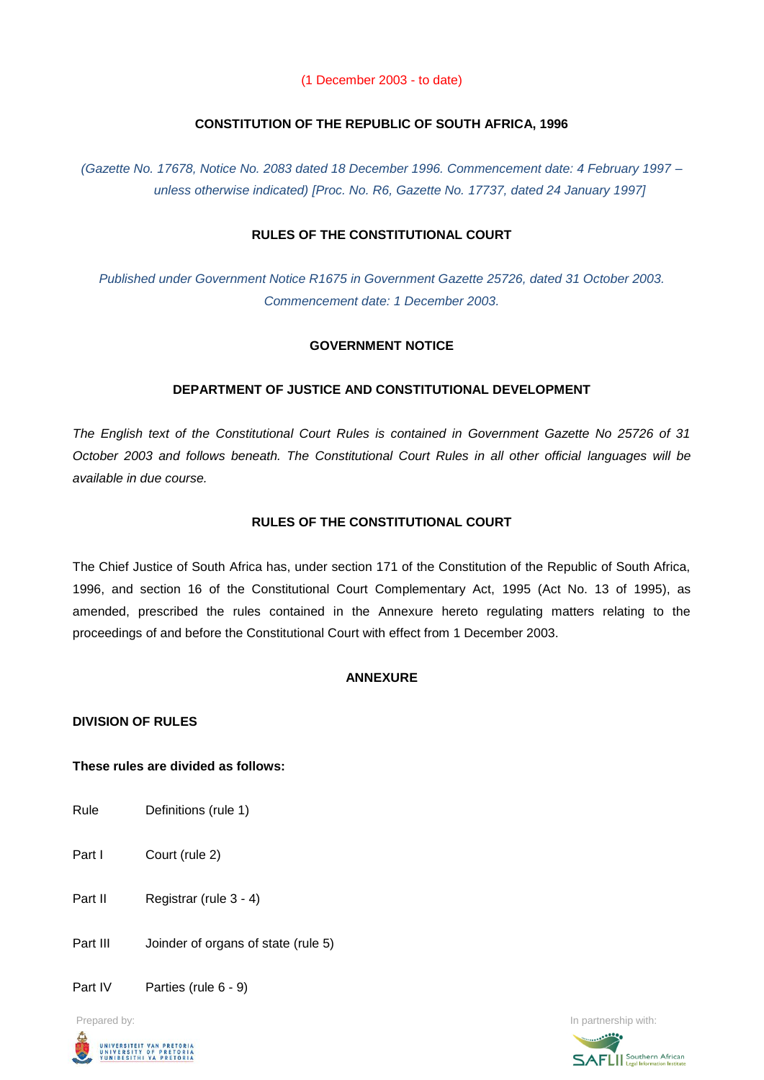(1 December 2003 - to date)

## **CONSTITUTION OF THE REPUBLIC OF SOUTH AFRICA, 1996**

*(Gazette No. 17678, Notice No. 2083 dated 18 December 1996. Commencement date: 4 February 1997 – unless otherwise indicated) [Proc. No. R6, Gazette No. 17737, dated 24 January 1997]*

# **RULES OF THE CONSTITUTIONAL COURT**

*Published under Government Notice R1675 in Government Gazette 25726, dated 31 October 2003. Commencement date: 1 December 2003.*

## **GOVERNMENT NOTICE**

## **DEPARTMENT OF JUSTICE AND CONSTITUTIONAL DEVELOPMENT**

*The English text of the Constitutional Court Rules is contained in Government Gazette No 25726 of 31 October 2003 and follows beneath. The Constitutional Court Rules in all other official languages will be available in due course.*

## **RULES OF THE CONSTITUTIONAL COURT**

The Chief Justice of South Africa has, under section 171 of the Constitution of the Republic of South Africa, 1996, and section 16 of the Constitutional Court Complementary Act, 1995 (Act No. 13 of 1995), as amended, prescribed the rules contained in the Annexure hereto regulating matters relating to the proceedings of and before the Constitutional Court with effect from 1 December 2003.

#### **ANNEXURE**

#### **DIVISION OF RULES**

#### **These rules are divided as follows:**

- Rule Definitions (rule 1)
- Part I Court (rule 2)
- Part II Registrar (rule 3 4)
- Part III Joinder of organs of state (rule 5)
- Part IV Parties (rule 6 9)



Prepared by: **In partnership with:**  $\blacksquare$  **In partnership with:**  $\blacksquare$  **In partnership with:**  $\blacksquare$ 

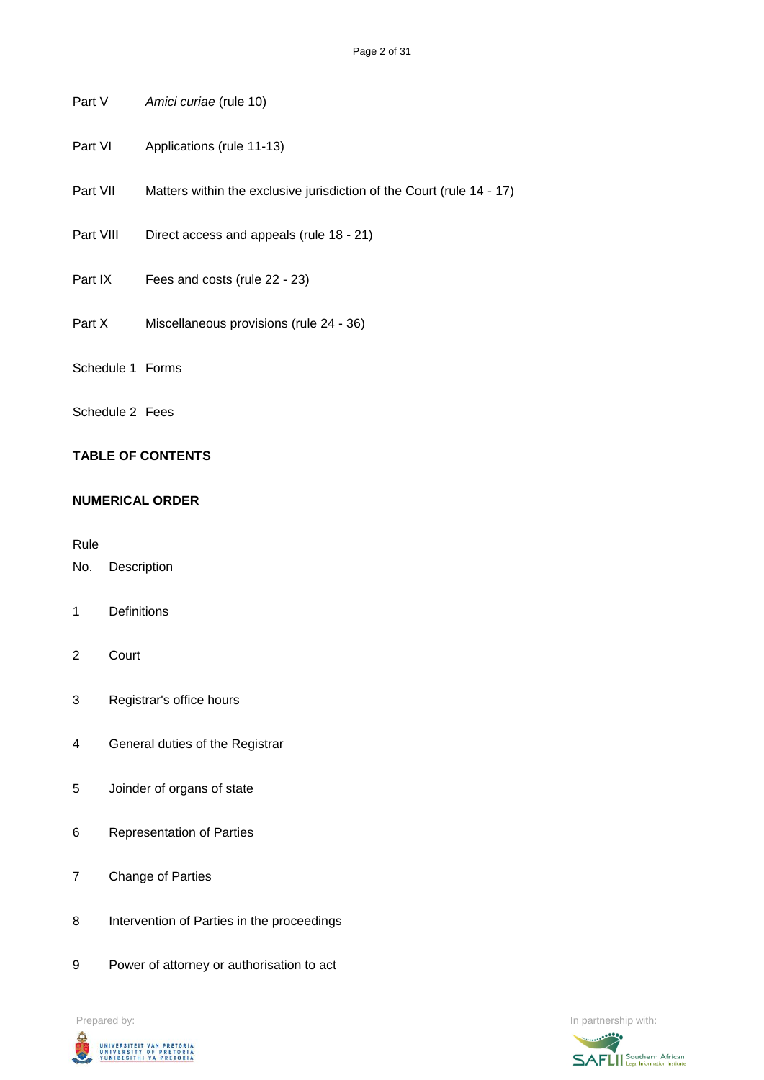- Part V *Amici curiae* (rule 10)
- Part VI Applications (rule 11-13)
- Part VII Matters within the exclusive jurisdiction of the Court (rule 14 17)
- Part VIII Direct access and appeals (rule 18 21)
- Part IX Fees and costs (rule 22 23)
- Part X Miscellaneous provisions (rule 24 36)
- Schedule 1 Forms
- Schedule 2 Fees

# **TABLE OF CONTENTS**

#### **NUMERICAL ORDER**

Rule

- No. Description
- 1 Definitions
- 2 Court
- 3 Registrar's office hours
- 4 General duties of the Registrar
- 5 Joinder of organs of state
- 6 Representation of Parties
- 7 Change of Parties
- 8 Intervention of Parties in the proceedings
- 9 Power of attorney or authorisation to act



Prepared by: In partnership with:

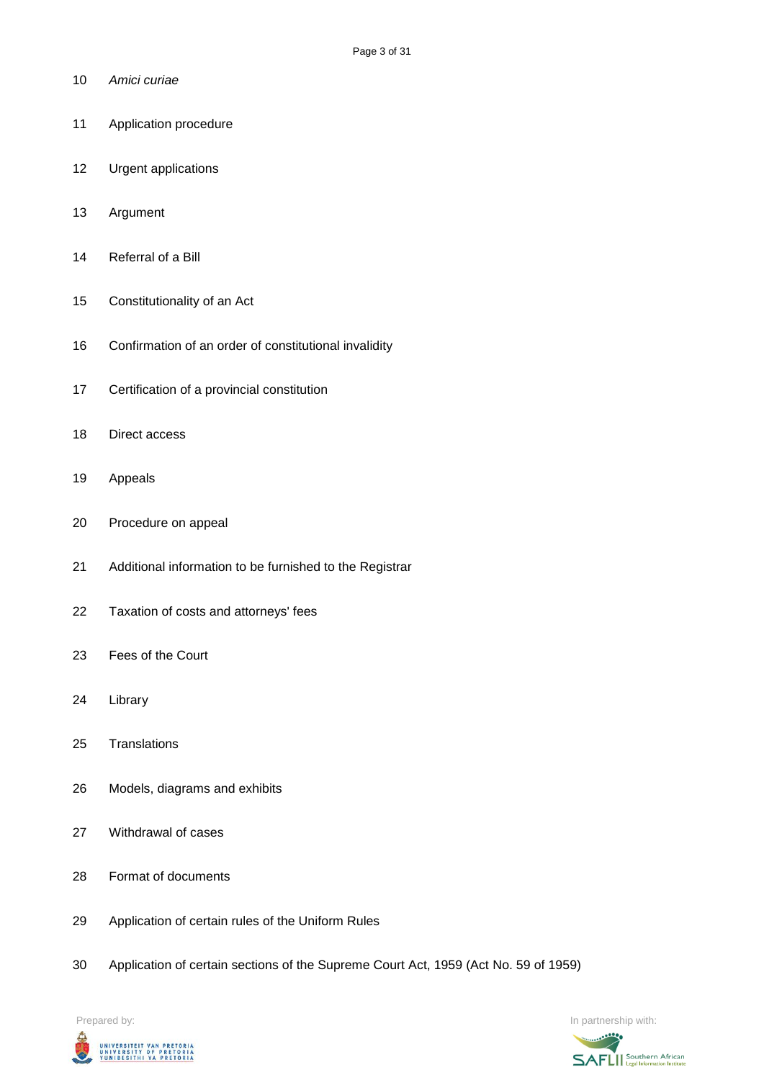- *Amici curiae*
- Application procedure
- Urgent applications
- Argument
- Referral of a Bill
- Constitutionality of an Act
- Confirmation of an order of constitutional invalidity
- Certification of a provincial constitution
- Direct access
- Appeals
- Procedure on appeal
- Additional information to be furnished to the Registrar
- Taxation of costs and attorneys' fees
- Fees of the Court
- Library
- Translations
- Models, diagrams and exhibits
- Withdrawal of cases
- Format of documents
- Application of certain rules of the Uniform Rules
- Application of certain sections of the Supreme Court Act, 1959 (Act No. 59 of 1959)



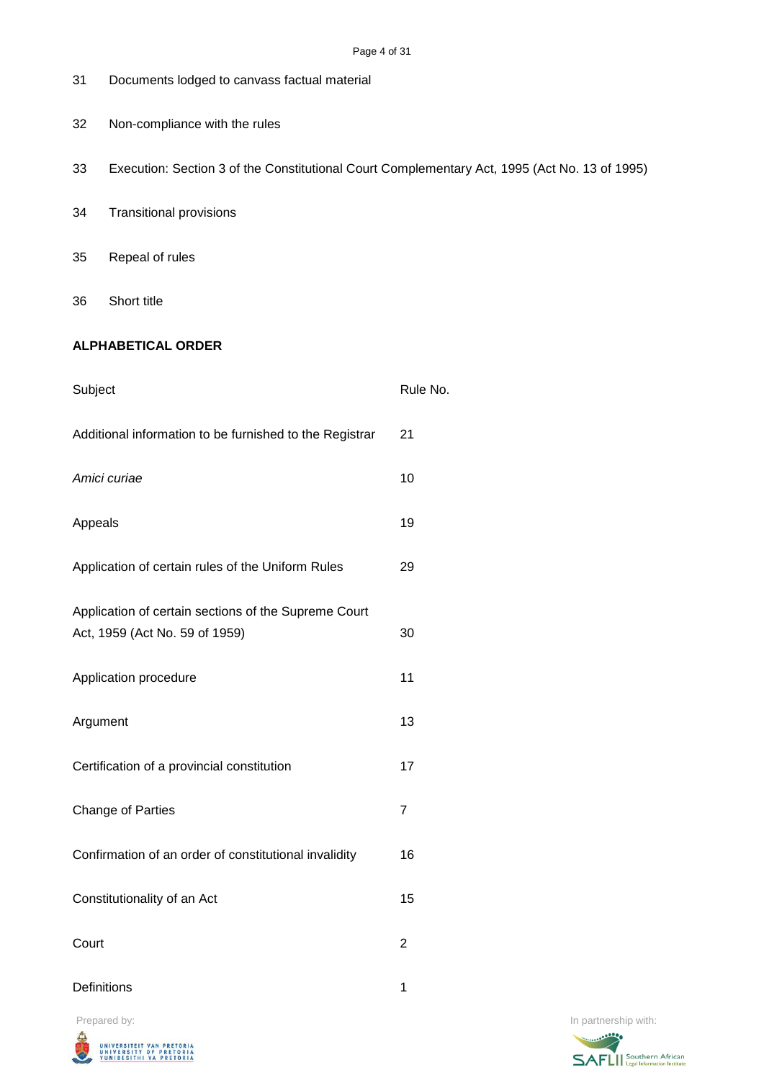| 31                                                                                     | Documents lodged to canvass factual material                                                  |                |  |  |  |  |
|----------------------------------------------------------------------------------------|-----------------------------------------------------------------------------------------------|----------------|--|--|--|--|
| 32                                                                                     | Non-compliance with the rules                                                                 |                |  |  |  |  |
| 33                                                                                     | Execution: Section 3 of the Constitutional Court Complementary Act, 1995 (Act No. 13 of 1995) |                |  |  |  |  |
| 34                                                                                     | <b>Transitional provisions</b>                                                                |                |  |  |  |  |
| 35                                                                                     | Repeal of rules                                                                               |                |  |  |  |  |
| 36                                                                                     | Short title                                                                                   |                |  |  |  |  |
|                                                                                        | <b>ALPHABETICAL ORDER</b>                                                                     |                |  |  |  |  |
| Subject                                                                                |                                                                                               | Rule No.       |  |  |  |  |
|                                                                                        | Additional information to be furnished to the Registrar                                       | 21             |  |  |  |  |
| Amici curiae                                                                           |                                                                                               | 10             |  |  |  |  |
| Appeals                                                                                |                                                                                               | 19             |  |  |  |  |
| Application of certain rules of the Uniform Rules                                      |                                                                                               | 29             |  |  |  |  |
| Application of certain sections of the Supreme Court<br>Act, 1959 (Act No. 59 of 1959) |                                                                                               | 30             |  |  |  |  |
| Application procedure                                                                  |                                                                                               | 11             |  |  |  |  |
| Argument                                                                               |                                                                                               | 13             |  |  |  |  |
| Certification of a provincial constitution                                             |                                                                                               | 17             |  |  |  |  |
| Change of Parties                                                                      |                                                                                               | $\overline{7}$ |  |  |  |  |
|                                                                                        | Confirmation of an order of constitutional invalidity                                         | 16             |  |  |  |  |
|                                                                                        | Constitutionality of an Act                                                                   | 15             |  |  |  |  |
| Court                                                                                  |                                                                                               | $\overline{2}$ |  |  |  |  |

Definitions 1



Prepared by: In partnership with:

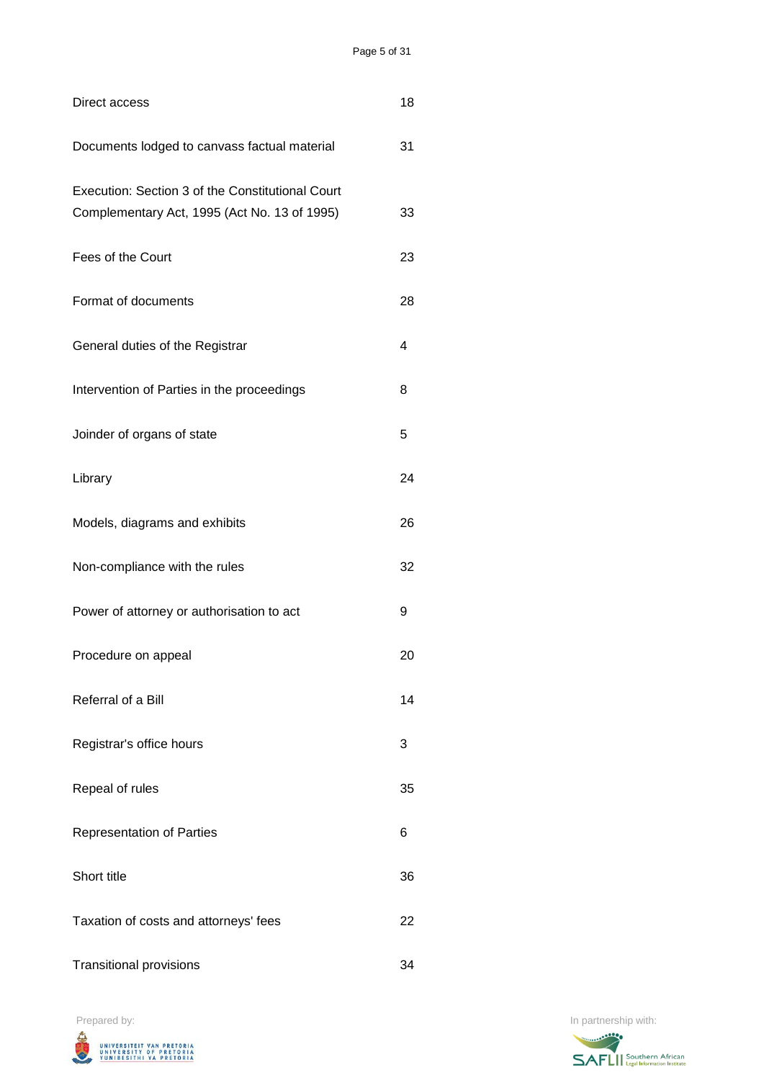| Direct access                                                                                    | 18 |
|--------------------------------------------------------------------------------------------------|----|
| Documents lodged to canvass factual material                                                     | 31 |
| Execution: Section 3 of the Constitutional Court<br>Complementary Act, 1995 (Act No. 13 of 1995) | 33 |
| Fees of the Court                                                                                | 23 |
| Format of documents                                                                              | 28 |
| General duties of the Registrar                                                                  | 4  |
| Intervention of Parties in the proceedings                                                       | 8  |
| Joinder of organs of state                                                                       | 5  |
| Library                                                                                          | 24 |
| Models, diagrams and exhibits                                                                    | 26 |
| Non-compliance with the rules                                                                    | 32 |
| Power of attorney or authorisation to act                                                        | 9  |
| Procedure on appeal                                                                              | 20 |
| Referral of a Bill                                                                               | 14 |
| Registrar's office hours                                                                         | 3  |
| Repeal of rules                                                                                  | 35 |
| <b>Representation of Parties</b>                                                                 | 6  |
| Short title                                                                                      | 36 |
| Taxation of costs and attorneys' fees                                                            | 22 |
| <b>Transitional provisions</b>                                                                   | 34 |



Prepared by: In partnership with:

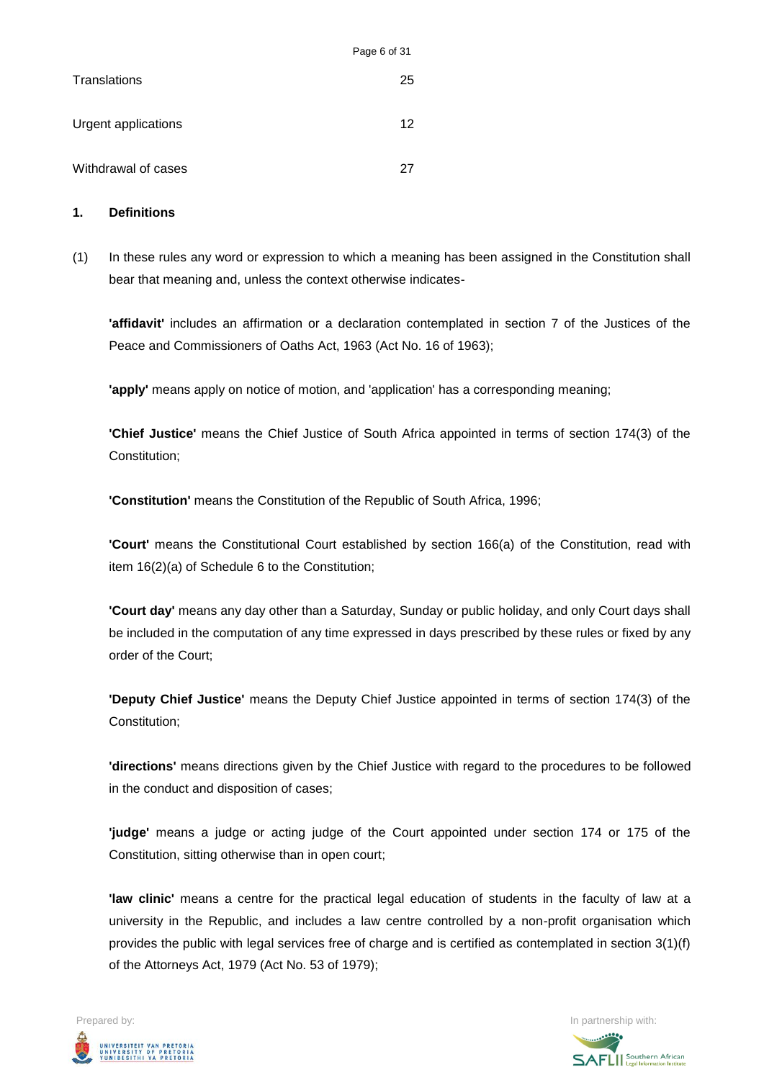|                     | <b>Faye 0 0 0 1</b> |
|---------------------|---------------------|
| Translations        | 25                  |
| Urgent applications | 12                  |
| Withdrawal of cases | 27                  |

#### **1. Definitions**

(1) In these rules any word or expression to which a meaning has been assigned in the Constitution shall bear that meaning and, unless the context otherwise indicates-

Page 6 of 31

**'affidavit'** includes an affirmation or a declaration contemplated in section 7 of the Justices of the Peace and Commissioners of Oaths Act, 1963 (Act No. 16 of 1963);

**'apply'** means apply on notice of motion, and 'application' has a corresponding meaning;

**'Chief Justice'** means the Chief Justice of South Africa appointed in terms of section 174(3) of the Constitution;

**'Constitution'** means the Constitution of the Republic of South Africa, 1996;

**'Court'** means the Constitutional Court established by section 166(a) of the Constitution, read with item 16(2)(a) of Schedule 6 to the Constitution;

**'Court day'** means any day other than a Saturday, Sunday or public holiday, and only Court days shall be included in the computation of any time expressed in days prescribed by these rules or fixed by any order of the Court;

**'Deputy Chief Justice'** means the Deputy Chief Justice appointed in terms of section 174(3) of the Constitution;

**'directions'** means directions given by the Chief Justice with regard to the procedures to be followed in the conduct and disposition of cases;

**'judge'** means a judge or acting judge of the Court appointed under section 174 or 175 of the Constitution, sitting otherwise than in open court;

**'law clinic'** means a centre for the practical legal education of students in the faculty of law at a university in the Republic, and includes a law centre controlled by a non-profit organisation which provides the public with legal services free of charge and is certified as contemplated in section 3(1)(f) of the Attorneys Act, 1979 (Act No. 53 of 1979);



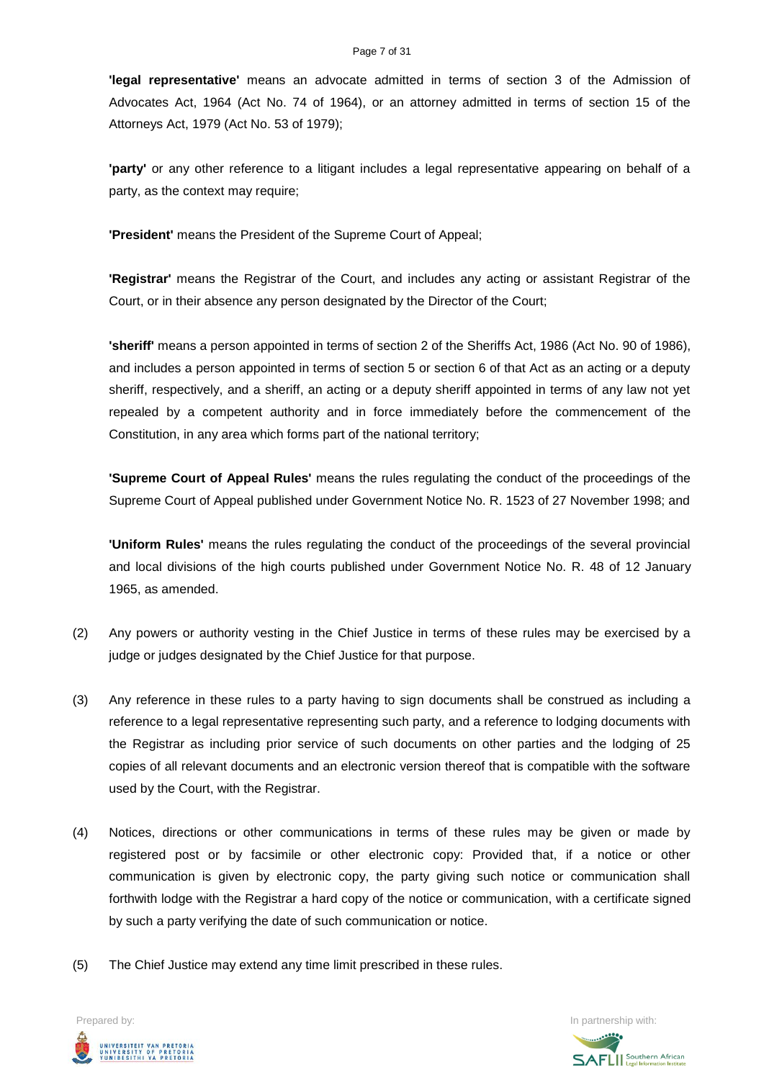**'legal representative'** means an advocate admitted in terms of section 3 of the Admission of Advocates Act, 1964 (Act No. 74 of 1964), or an attorney admitted in terms of section 15 of the Attorneys Act, 1979 (Act No. 53 of 1979);

**'party'** or any other reference to a litigant includes a legal representative appearing on behalf of a party, as the context may require;

**'President'** means the President of the Supreme Court of Appeal;

**'Registrar'** means the Registrar of the Court, and includes any acting or assistant Registrar of the Court, or in their absence any person designated by the Director of the Court;

**'sheriff'** means a person appointed in terms of section 2 of the Sheriffs Act, 1986 (Act No. 90 of 1986), and includes a person appointed in terms of section 5 or section 6 of that Act as an acting or a deputy sheriff, respectively, and a sheriff, an acting or a deputy sheriff appointed in terms of any law not yet repealed by a competent authority and in force immediately before the commencement of the Constitution, in any area which forms part of the national territory;

**'Supreme Court of Appeal Rules'** means the rules regulating the conduct of the proceedings of the Supreme Court of Appeal published under Government Notice No. R. 1523 of 27 November 1998; and

**'Uniform Rules'** means the rules regulating the conduct of the proceedings of the several provincial and local divisions of the high courts published under Government Notice No. R. 48 of 12 January 1965, as amended.

- (2) Any powers or authority vesting in the Chief Justice in terms of these rules may be exercised by a judge or judges designated by the Chief Justice for that purpose.
- (3) Any reference in these rules to a party having to sign documents shall be construed as including a reference to a legal representative representing such party, and a reference to lodging documents with the Registrar as including prior service of such documents on other parties and the lodging of 25 copies of all relevant documents and an electronic version thereof that is compatible with the software used by the Court, with the Registrar.
- (4) Notices, directions or other communications in terms of these rules may be given or made by registered post or by facsimile or other electronic copy: Provided that, if a notice or other communication is given by electronic copy, the party giving such notice or communication shall forthwith lodge with the Registrar a hard copy of the notice or communication, with a certificate signed by such a party verifying the date of such communication or notice.
- (5) The Chief Justice may extend any time limit prescribed in these rules.



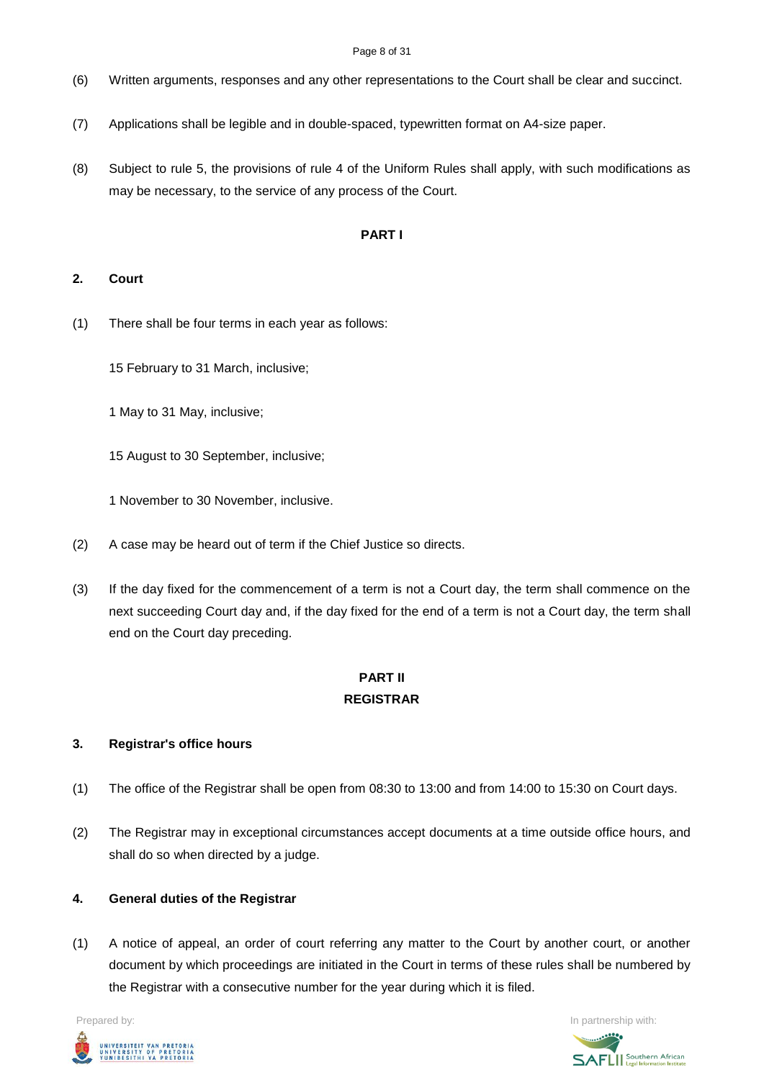#### Page 8 of 31

- (6) Written arguments, responses and any other representations to the Court shall be clear and succinct.
- (7) Applications shall be legible and in double-spaced, typewritten format on A4-size paper.
- (8) Subject to rule 5, the provisions of rule 4 of the Uniform Rules shall apply, with such modifications as may be necessary, to the service of any process of the Court.

## **PART I**

### **2. Court**

(1) There shall be four terms in each year as follows:

15 February to 31 March, inclusive;

1 May to 31 May, inclusive;

15 August to 30 September, inclusive;

1 November to 30 November, inclusive.

- (2) A case may be heard out of term if the Chief Justice so directs.
- (3) If the day fixed for the commencement of a term is not a Court day, the term shall commence on the next succeeding Court day and, if the day fixed for the end of a term is not a Court day, the term shall end on the Court day preceding.

# **PART II REGISTRAR**

# **3. Registrar's office hours**

- (1) The office of the Registrar shall be open from 08:30 to 13:00 and from 14:00 to 15:30 on Court days.
- (2) The Registrar may in exceptional circumstances accept documents at a time outside office hours, and shall do so when directed by a judge.

# **4. General duties of the Registrar**

(1) A notice of appeal, an order of court referring any matter to the Court by another court, or another document by which proceedings are initiated in the Court in terms of these rules shall be numbered by the Registrar with a consecutive number for the year during which it is filed.



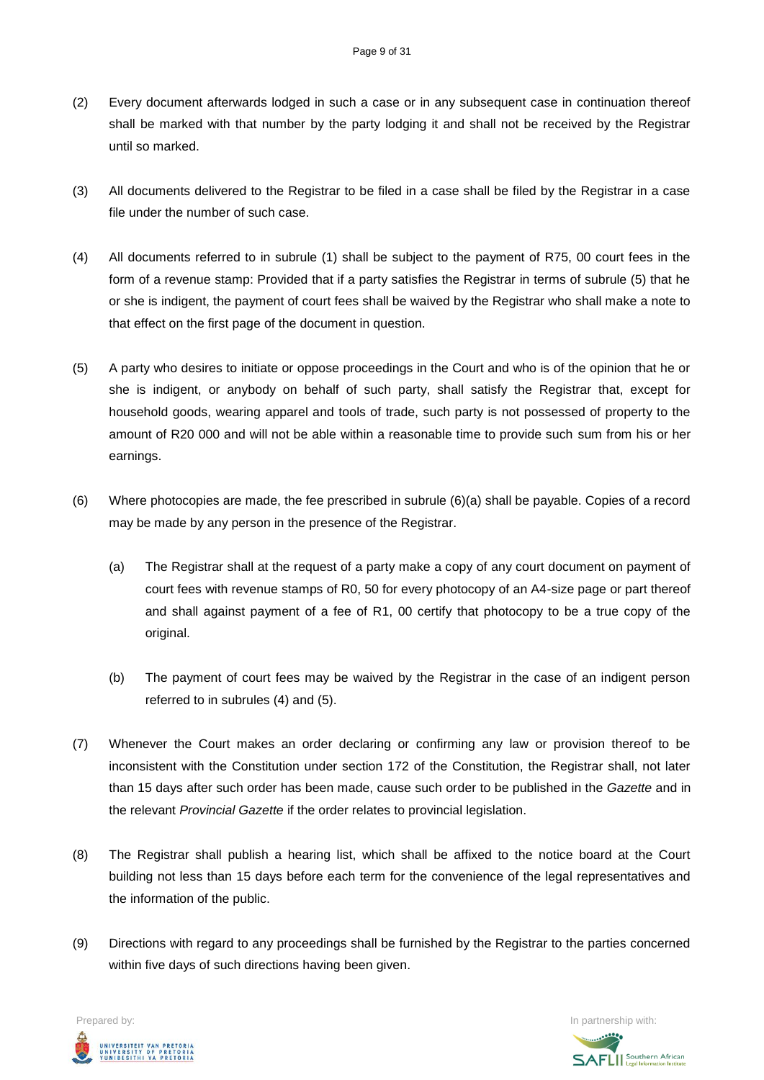- (2) Every document afterwards lodged in such a case or in any subsequent case in continuation thereof shall be marked with that number by the party lodging it and shall not be received by the Registrar until so marked.
- (3) All documents delivered to the Registrar to be filed in a case shall be filed by the Registrar in a case file under the number of such case.
- (4) All documents referred to in subrule (1) shall be subject to the payment of R75, 00 court fees in the form of a revenue stamp: Provided that if a party satisfies the Registrar in terms of subrule (5) that he or she is indigent, the payment of court fees shall be waived by the Registrar who shall make a note to that effect on the first page of the document in question.
- (5) A party who desires to initiate or oppose proceedings in the Court and who is of the opinion that he or she is indigent, or anybody on behalf of such party, shall satisfy the Registrar that, except for household goods, wearing apparel and tools of trade, such party is not possessed of property to the amount of R20 000 and will not be able within a reasonable time to provide such sum from his or her earnings.
- (6) Where photocopies are made, the fee prescribed in subrule (6)(a) shall be payable. Copies of a record may be made by any person in the presence of the Registrar.
	- (a) The Registrar shall at the request of a party make a copy of any court document on payment of court fees with revenue stamps of R0, 50 for every photocopy of an A4-size page or part thereof and shall against payment of a fee of R1, 00 certify that photocopy to be a true copy of the original.
	- (b) The payment of court fees may be waived by the Registrar in the case of an indigent person referred to in subrules (4) and (5).
- (7) Whenever the Court makes an order declaring or confirming any law or provision thereof to be inconsistent with the Constitution under section 172 of the Constitution, the Registrar shall, not later than 15 days after such order has been made, cause such order to be published in the *Gazette* and in the relevant *Provincial Gazette* if the order relates to provincial legislation.
- (8) The Registrar shall publish a hearing list, which shall be affixed to the notice board at the Court building not less than 15 days before each term for the convenience of the legal representatives and the information of the public.
- (9) Directions with regard to any proceedings shall be furnished by the Registrar to the parties concerned within five days of such directions having been given.



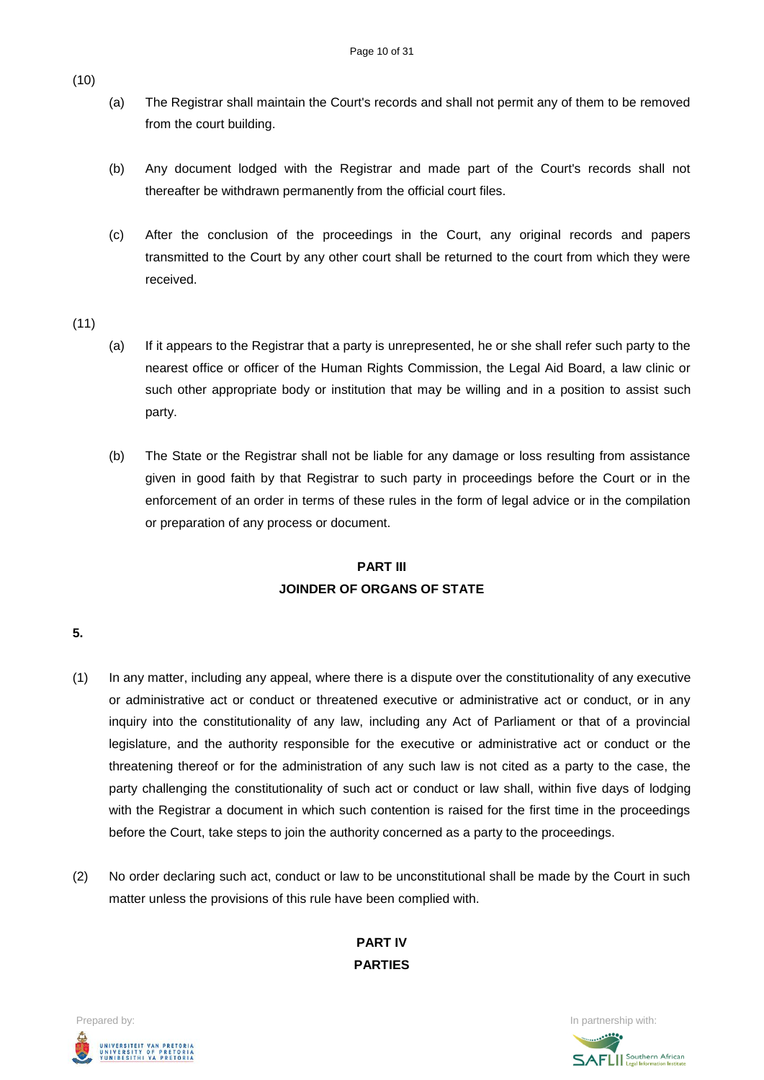- (a) The Registrar shall maintain the Court's records and shall not permit any of them to be removed from the court building.
- (b) Any document lodged with the Registrar and made part of the Court's records shall not thereafter be withdrawn permanently from the official court files.
- (c) After the conclusion of the proceedings in the Court, any original records and papers transmitted to the Court by any other court shall be returned to the court from which they were received.
- (11)
- (a) If it appears to the Registrar that a party is unrepresented, he or she shall refer such party to the nearest office or officer of the Human Rights Commission, the Legal Aid Board, a law clinic or such other appropriate body or institution that may be willing and in a position to assist such party.
- (b) The State or the Registrar shall not be liable for any damage or loss resulting from assistance given in good faith by that Registrar to such party in proceedings before the Court or in the enforcement of an order in terms of these rules in the form of legal advice or in the compilation or preparation of any process or document.

# **PART III JOINDER OF ORGANS OF STATE**

# **5.**

- (1) In any matter, including any appeal, where there is a dispute over the constitutionality of any executive or administrative act or conduct or threatened executive or administrative act or conduct, or in any inquiry into the constitutionality of any law, including any Act of Parliament or that of a provincial legislature, and the authority responsible for the executive or administrative act or conduct or the threatening thereof or for the administration of any such law is not cited as a party to the case, the party challenging the constitutionality of such act or conduct or law shall, within five days of lodging with the Registrar a document in which such contention is raised for the first time in the proceedings before the Court, take steps to join the authority concerned as a party to the proceedings.
- (2) No order declaring such act, conduct or law to be unconstitutional shall be made by the Court in such matter unless the provisions of this rule have been complied with.

**PART IV PARTIES**



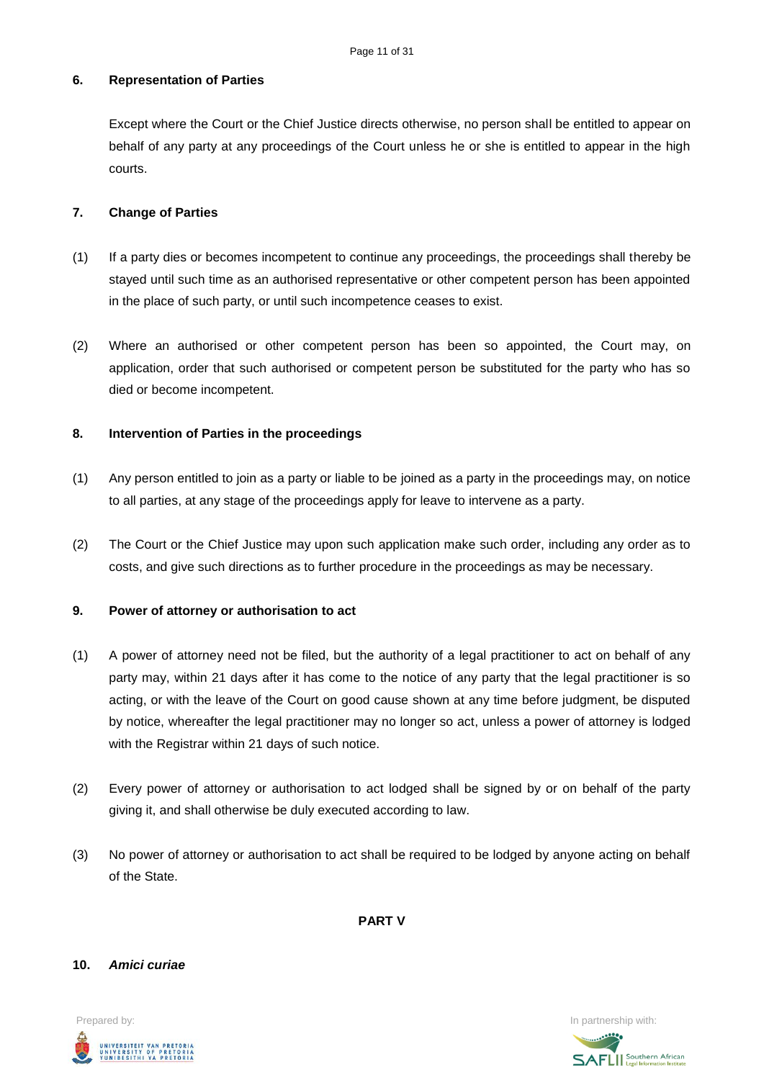## **6. Representation of Parties**

Except where the Court or the Chief Justice directs otherwise, no person shall be entitled to appear on behalf of any party at any proceedings of the Court unless he or she is entitled to appear in the high courts.

## **7. Change of Parties**

- (1) If a party dies or becomes incompetent to continue any proceedings, the proceedings shall thereby be stayed until such time as an authorised representative or other competent person has been appointed in the place of such party, or until such incompetence ceases to exist.
- (2) Where an authorised or other competent person has been so appointed, the Court may, on application, order that such authorised or competent person be substituted for the party who has so died or become incompetent.

# **8. Intervention of Parties in the proceedings**

- (1) Any person entitled to join as a party or liable to be joined as a party in the proceedings may, on notice to all parties, at any stage of the proceedings apply for leave to intervene as a party.
- (2) The Court or the Chief Justice may upon such application make such order, including any order as to costs, and give such directions as to further procedure in the proceedings as may be necessary.

### **9. Power of attorney or authorisation to act**

- (1) A power of attorney need not be filed, but the authority of a legal practitioner to act on behalf of any party may, within 21 days after it has come to the notice of any party that the legal practitioner is so acting, or with the leave of the Court on good cause shown at any time before judgment, be disputed by notice, whereafter the legal practitioner may no longer so act, unless a power of attorney is lodged with the Registrar within 21 days of such notice.
- (2) Every power of attorney or authorisation to act lodged shall be signed by or on behalf of the party giving it, and shall otherwise be duly executed according to law.
- (3) No power of attorney or authorisation to act shall be required to be lodged by anyone acting on behalf of the State.

**PART V**

#### **10.** *Amici curiae*



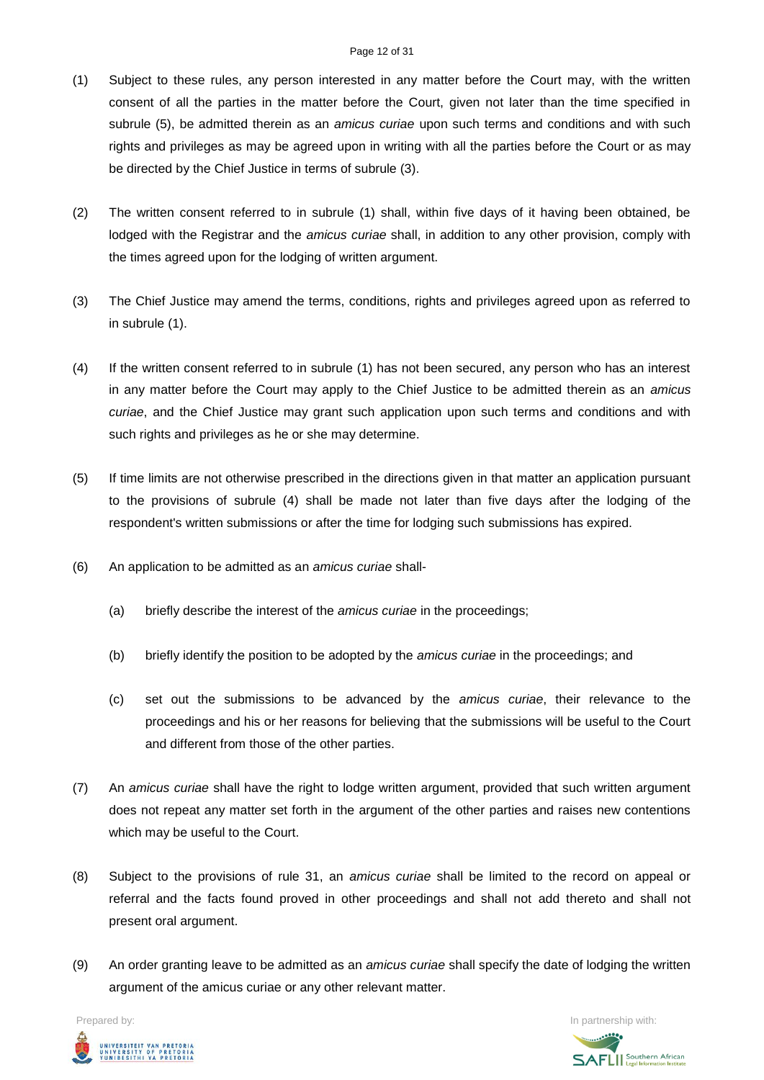#### Page 12 of 31

- (1) Subject to these rules, any person interested in any matter before the Court may, with the written consent of all the parties in the matter before the Court, given not later than the time specified in subrule (5), be admitted therein as an *amicus curiae* upon such terms and conditions and with such rights and privileges as may be agreed upon in writing with all the parties before the Court or as may be directed by the Chief Justice in terms of subrule (3).
- (2) The written consent referred to in subrule (1) shall, within five days of it having been obtained, be lodged with the Registrar and the *amicus curiae* shall, in addition to any other provision, comply with the times agreed upon for the lodging of written argument.
- (3) The Chief Justice may amend the terms, conditions, rights and privileges agreed upon as referred to in subrule (1).
- (4) If the written consent referred to in subrule (1) has not been secured, any person who has an interest in any matter before the Court may apply to the Chief Justice to be admitted therein as an *amicus curiae*, and the Chief Justice may grant such application upon such terms and conditions and with such rights and privileges as he or she may determine.
- (5) If time limits are not otherwise prescribed in the directions given in that matter an application pursuant to the provisions of subrule (4) shall be made not later than five days after the lodging of the respondent's written submissions or after the time for lodging such submissions has expired.
- (6) An application to be admitted as an *amicus curiae* shall-
	- (a) briefly describe the interest of the *amicus curiae* in the proceedings;
	- (b) briefly identify the position to be adopted by the *amicus curiae* in the proceedings; and
	- (c) set out the submissions to be advanced by the *amicus curiae*, their relevance to the proceedings and his or her reasons for believing that the submissions will be useful to the Court and different from those of the other parties.
- (7) An *amicus curiae* shall have the right to lodge written argument, provided that such written argument does not repeat any matter set forth in the argument of the other parties and raises new contentions which may be useful to the Court.
- (8) Subject to the provisions of rule 31, an *amicus curiae* shall be limited to the record on appeal or referral and the facts found proved in other proceedings and shall not add thereto and shall not present oral argument.
- (9) An order granting leave to be admitted as an *amicus curiae* shall specify the date of lodging the written argument of the amicus curiae or any other relevant matter.

UNIVERSITEIT VAN PRETORIA<br>UNIVERSITY OF PRETORIA<br>YUNIBESITHI YA PRETORIA

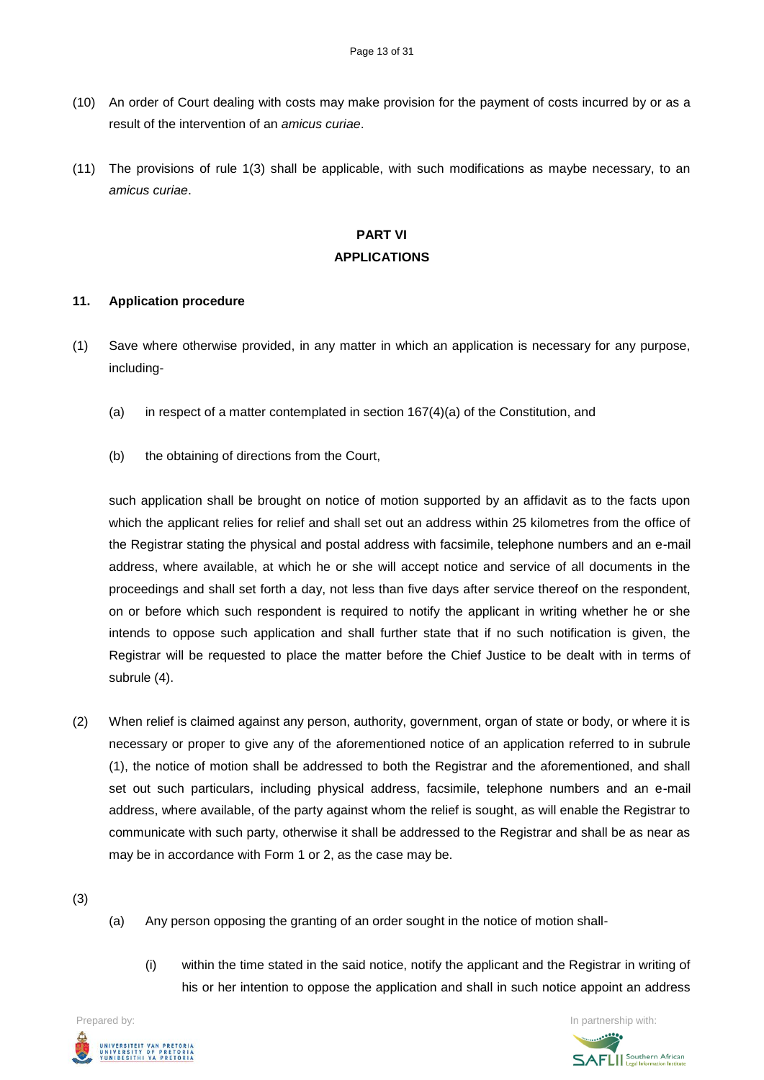- (10) An order of Court dealing with costs may make provision for the payment of costs incurred by or as a result of the intervention of an *amicus curiae*.
- (11) The provisions of rule 1(3) shall be applicable, with such modifications as maybe necessary, to an *amicus curiae*.

# **PART VI APPLICATIONS**

#### **11. Application procedure**

- (1) Save where otherwise provided, in any matter in which an application is necessary for any purpose, including-
	- (a) in respect of a matter contemplated in section 167(4)(a) of the Constitution, and
	- (b) the obtaining of directions from the Court,

such application shall be brought on notice of motion supported by an affidavit as to the facts upon which the applicant relies for relief and shall set out an address within 25 kilometres from the office of the Registrar stating the physical and postal address with facsimile, telephone numbers and an e-mail address, where available, at which he or she will accept notice and service of all documents in the proceedings and shall set forth a day, not less than five days after service thereof on the respondent, on or before which such respondent is required to notify the applicant in writing whether he or she intends to oppose such application and shall further state that if no such notification is given, the Registrar will be requested to place the matter before the Chief Justice to be dealt with in terms of subrule (4).

(2) When relief is claimed against any person, authority, government, organ of state or body, or where it is necessary or proper to give any of the aforementioned notice of an application referred to in subrule (1), the notice of motion shall be addressed to both the Registrar and the aforementioned, and shall set out such particulars, including physical address, facsimile, telephone numbers and an e-mail address, where available, of the party against whom the relief is sought, as will enable the Registrar to communicate with such party, otherwise it shall be addressed to the Registrar and shall be as near as may be in accordance with Form 1 or 2, as the case may be.

(3)

- (a) Any person opposing the granting of an order sought in the notice of motion shall-
	- (i) within the time stated in the said notice, notify the applicant and the Registrar in writing of his or her intention to oppose the application and shall in such notice appoint an address

Prepared by: In partnership with:  $\blacksquare$  is the partnership with:  $\blacksquare$  is the partnership with:  $\blacksquare$ UNIVERSITEIT VAN PRETORIA<br>UNIVERSITY OF PRETORIA<br>YUNIBESITHI YA PRETORIA

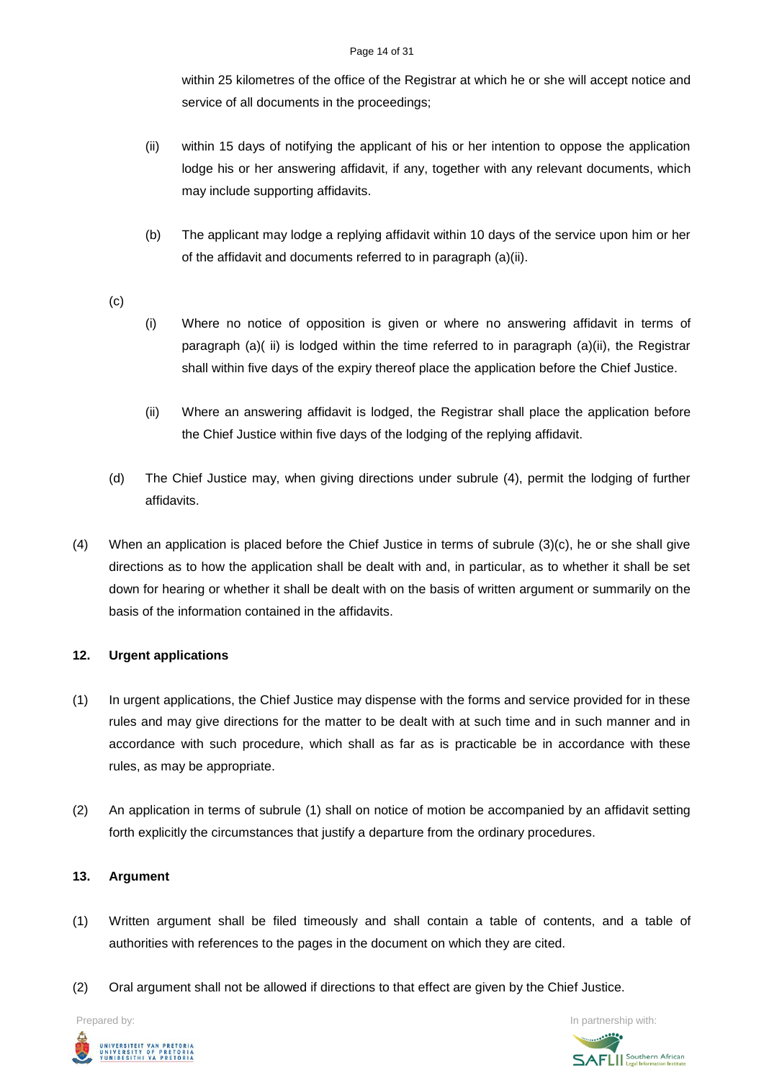#### Page 14 of 31

within 25 kilometres of the office of the Registrar at which he or she will accept notice and service of all documents in the proceedings;

- (ii) within 15 days of notifying the applicant of his or her intention to oppose the application lodge his or her answering affidavit, if any, together with any relevant documents, which may include supporting affidavits.
- (b) The applicant may lodge a replying affidavit within 10 days of the service upon him or her of the affidavit and documents referred to in paragraph (a)(ii).
- (c)
- (i) Where no notice of opposition is given or where no answering affidavit in terms of paragraph (a)( ii) is lodged within the time referred to in paragraph (a)(ii), the Registrar shall within five days of the expiry thereof place the application before the Chief Justice.
- (ii) Where an answering affidavit is lodged, the Registrar shall place the application before the Chief Justice within five days of the lodging of the replying affidavit.
- (d) The Chief Justice may, when giving directions under subrule (4), permit the lodging of further affidavits.
- (4) When an application is placed before the Chief Justice in terms of subrule (3)(c), he or she shall give directions as to how the application shall be dealt with and, in particular, as to whether it shall be set down for hearing or whether it shall be dealt with on the basis of written argument or summarily on the basis of the information contained in the affidavits.

# **12. Urgent applications**

- (1) In urgent applications, the Chief Justice may dispense with the forms and service provided for in these rules and may give directions for the matter to be dealt with at such time and in such manner and in accordance with such procedure, which shall as far as is practicable be in accordance with these rules, as may be appropriate.
- (2) An application in terms of subrule (1) shall on notice of motion be accompanied by an affidavit setting forth explicitly the circumstances that justify a departure from the ordinary procedures.

# **13. Argument**

- (1) Written argument shall be filed timeously and shall contain a table of contents, and a table of authorities with references to the pages in the document on which they are cited.
- (2) Oral argument shall not be allowed if directions to that effect are given by the Chief Justice.



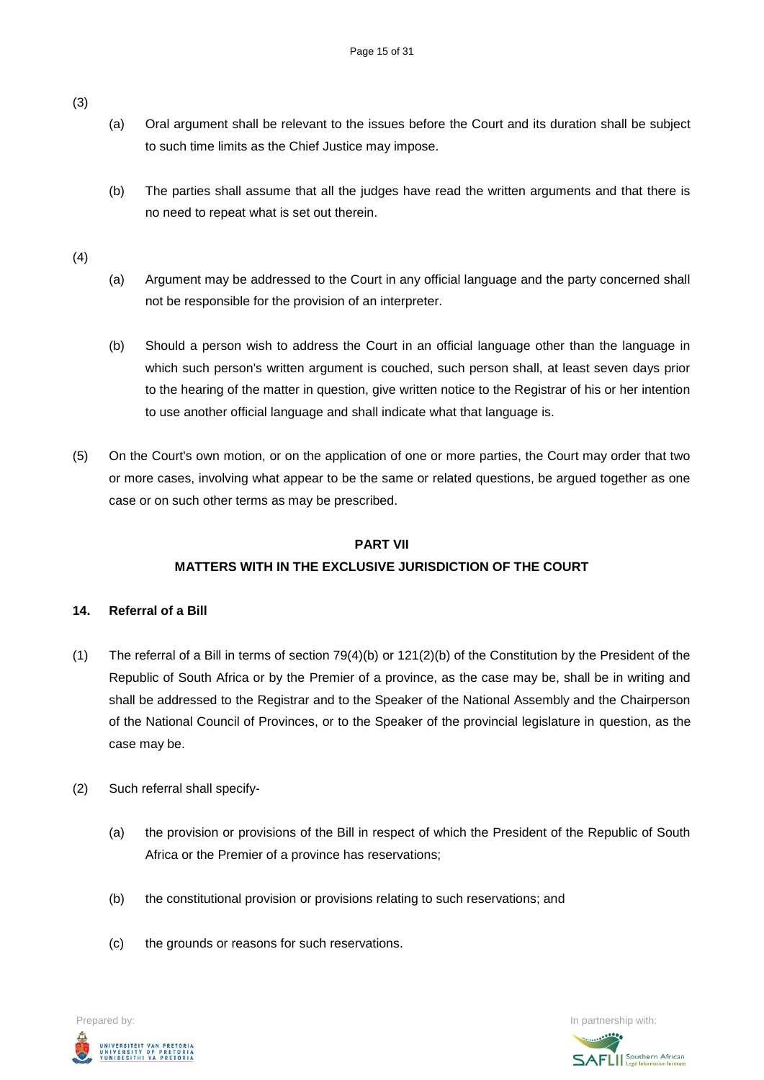- (a) Oral argument shall be relevant to the issues before the Court and its duration shall be subject to such time limits as the Chief Justice may impose.
- (b) The parties shall assume that all the judges have read the written arguments and that there is no need to repeat what is set out therein.

(4)

- (a) Argument may be addressed to the Court in any official language and the party concerned shall not be responsible for the provision of an interpreter.
- (b) Should a person wish to address the Court in an official language other than the language in which such person's written argument is couched, such person shall, at least seven days prior to the hearing of the matter in question, give written notice to the Registrar of his or her intention to use another official language and shall indicate what that language is.
- (5) On the Court's own motion, or on the application of one or more parties, the Court may order that two or more cases, involving what appear to be the same or related questions, be argued together as one case or on such other terms as may be prescribed.

# **PART VII MATTERS WITH IN THE EXCLUSIVE JURISDICTION OF THE COURT**

# **14. Referral of a Bill**

- (1) The referral of a Bill in terms of section 79(4)(b) or 121(2)(b) of the Constitution by the President of the Republic of South Africa or by the Premier of a province, as the case may be, shall be in writing and shall be addressed to the Registrar and to the Speaker of the National Assembly and the Chairperson of the National Council of Provinces, or to the Speaker of the provincial legislature in question, as the case may be.
- (2) Such referral shall specify-
	- (a) the provision or provisions of the Bill in respect of which the President of the Republic of South Africa or the Premier of a province has reservations;
	- (b) the constitutional provision or provisions relating to such reservations; and
	- (c) the grounds or reasons for such reservations.

Prepared by: In partnership with:  $\blacksquare$  is the partnership with:  $\blacksquare$  is the partnership with:  $\blacksquare$ .<br>UNIVERSITEIT VAN PRETORIA<br>YUNIBESITHI YA PRETORIA

**SAFLI** Southern African

(3)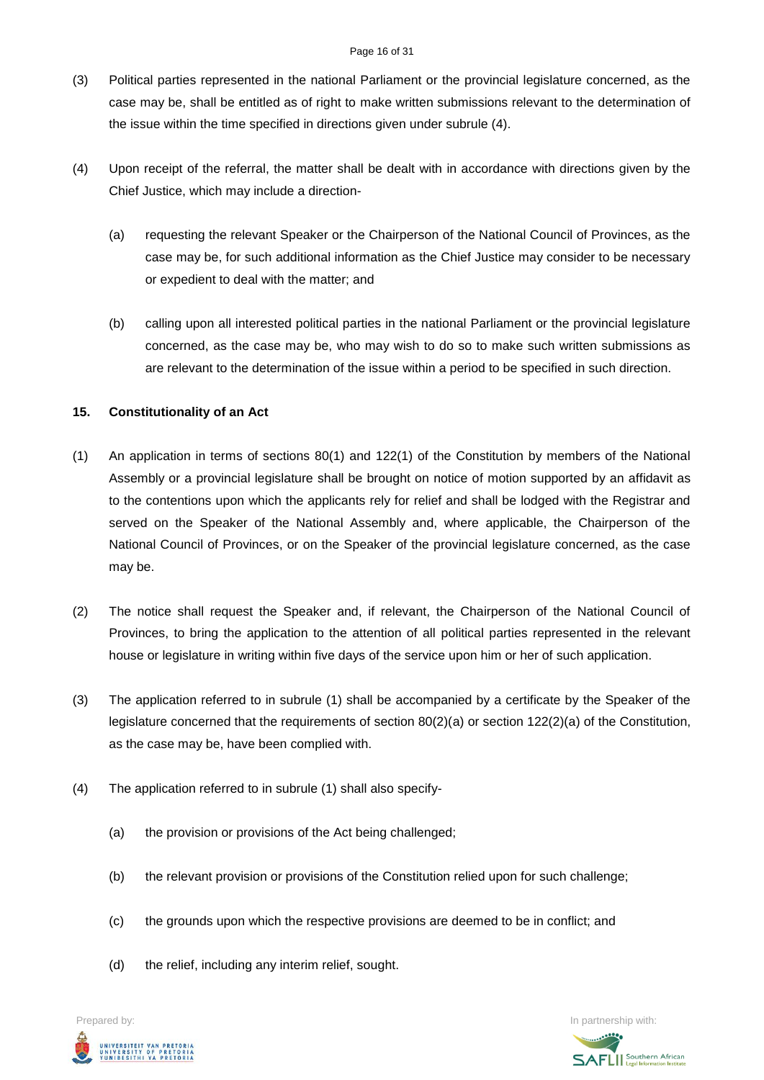#### Page 16 of 31

- (3) Political parties represented in the national Parliament or the provincial legislature concerned, as the case may be, shall be entitled as of right to make written submissions relevant to the determination of the issue within the time specified in directions given under subrule (4).
- (4) Upon receipt of the referral, the matter shall be dealt with in accordance with directions given by the Chief Justice, which may include a direction-
	- (a) requesting the relevant Speaker or the Chairperson of the National Council of Provinces, as the case may be, for such additional information as the Chief Justice may consider to be necessary or expedient to deal with the matter; and
	- (b) calling upon all interested political parties in the national Parliament or the provincial legislature concerned, as the case may be, who may wish to do so to make such written submissions as are relevant to the determination of the issue within a period to be specified in such direction.

# **15. Constitutionality of an Act**

- (1) An application in terms of sections 80(1) and 122(1) of the Constitution by members of the National Assembly or a provincial legislature shall be brought on notice of motion supported by an affidavit as to the contentions upon which the applicants rely for relief and shall be lodged with the Registrar and served on the Speaker of the National Assembly and, where applicable, the Chairperson of the National Council of Provinces, or on the Speaker of the provincial legislature concerned, as the case may be.
- (2) The notice shall request the Speaker and, if relevant, the Chairperson of the National Council of Provinces, to bring the application to the attention of all political parties represented in the relevant house or legislature in writing within five days of the service upon him or her of such application.
- (3) The application referred to in subrule (1) shall be accompanied by a certificate by the Speaker of the legislature concerned that the requirements of section 80(2)(a) or section 122(2)(a) of the Constitution, as the case may be, have been complied with.
- (4) The application referred to in subrule (1) shall also specify-
	- (a) the provision or provisions of the Act being challenged;
	- (b) the relevant provision or provisions of the Constitution relied upon for such challenge;
	- (c) the grounds upon which the respective provisions are deemed to be in conflict; and
	- (d) the relief, including any interim relief, sought.

UNIVERSITEIT VAN PRETORIA<br>UNIVERSITY OF PRETORIA<br>YUNIBESITHI YA PRETORIA

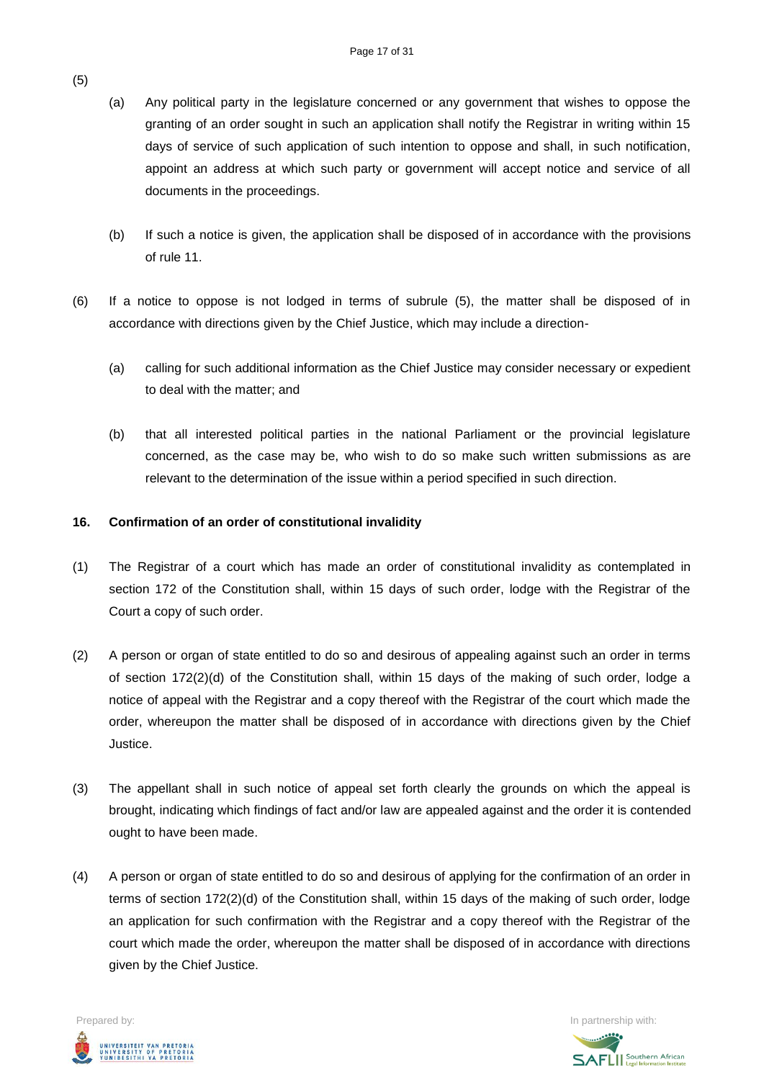- (a) Any political party in the legislature concerned or any government that wishes to oppose the granting of an order sought in such an application shall notify the Registrar in writing within 15 days of service of such application of such intention to oppose and shall, in such notification, appoint an address at which such party or government will accept notice and service of all documents in the proceedings.
- (b) If such a notice is given, the application shall be disposed of in accordance with the provisions of rule 11.
- (6) If a notice to oppose is not lodged in terms of subrule (5), the matter shall be disposed of in accordance with directions given by the Chief Justice, which may include a direction-
	- (a) calling for such additional information as the Chief Justice may consider necessary or expedient to deal with the matter; and
	- (b) that all interested political parties in the national Parliament or the provincial legislature concerned, as the case may be, who wish to do so make such written submissions as are relevant to the determination of the issue within a period specified in such direction.

#### **16. Confirmation of an order of constitutional invalidity**

- (1) The Registrar of a court which has made an order of constitutional invalidity as contemplated in section 172 of the Constitution shall, within 15 days of such order, lodge with the Registrar of the Court a copy of such order.
- (2) A person or organ of state entitled to do so and desirous of appealing against such an order in terms of section 172(2)(d) of the Constitution shall, within 15 days of the making of such order, lodge a notice of appeal with the Registrar and a copy thereof with the Registrar of the court which made the order, whereupon the matter shall be disposed of in accordance with directions given by the Chief Justice.
- (3) The appellant shall in such notice of appeal set forth clearly the grounds on which the appeal is brought, indicating which findings of fact and/or law are appealed against and the order it is contended ought to have been made.
- (4) A person or organ of state entitled to do so and desirous of applying for the confirmation of an order in terms of section 172(2)(d) of the Constitution shall, within 15 days of the making of such order, lodge an application for such confirmation with the Registrar and a copy thereof with the Registrar of the court which made the order, whereupon the matter shall be disposed of in accordance with directions given by the Chief Justice.



**SAFLI** Southern African

### (5)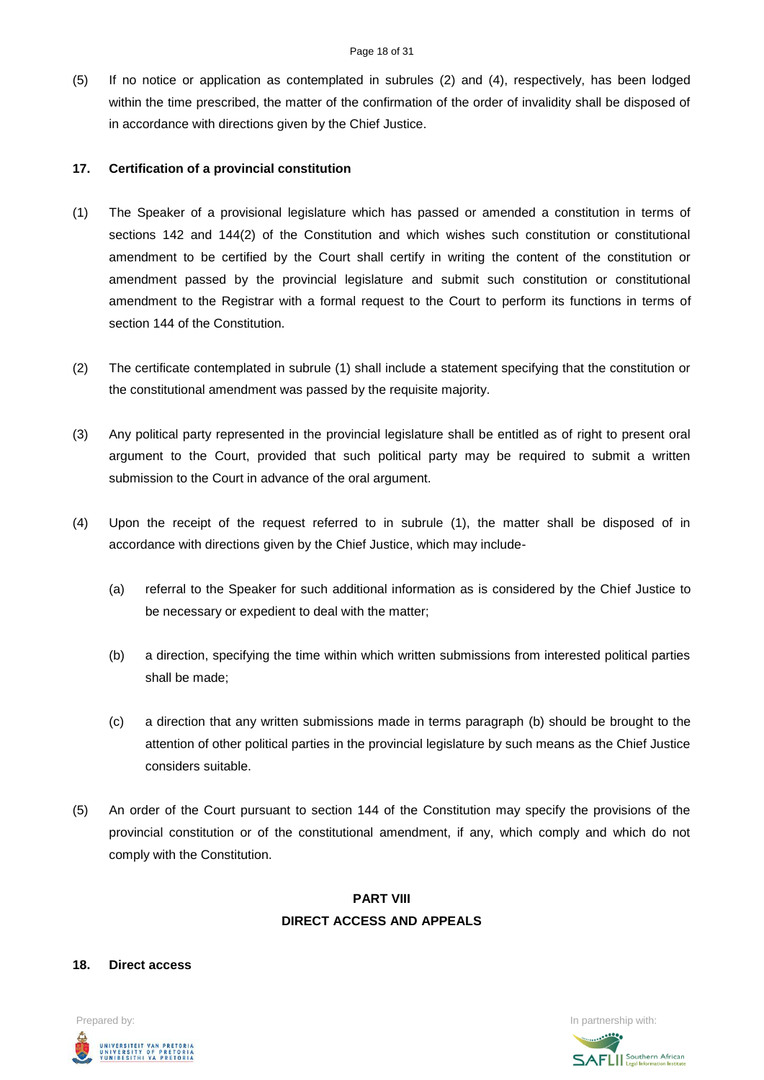(5) If no notice or application as contemplated in subrules (2) and (4), respectively, has been lodged within the time prescribed, the matter of the confirmation of the order of invalidity shall be disposed of in accordance with directions given by the Chief Justice.

#### **17. Certification of a provincial constitution**

- (1) The Speaker of a provisional legislature which has passed or amended a constitution in terms of sections 142 and 144(2) of the Constitution and which wishes such constitution or constitutional amendment to be certified by the Court shall certify in writing the content of the constitution or amendment passed by the provincial legislature and submit such constitution or constitutional amendment to the Registrar with a formal request to the Court to perform its functions in terms of section 144 of the Constitution.
- (2) The certificate contemplated in subrule (1) shall include a statement specifying that the constitution or the constitutional amendment was passed by the requisite majority.
- (3) Any political party represented in the provincial legislature shall be entitled as of right to present oral argument to the Court, provided that such political party may be required to submit a written submission to the Court in advance of the oral argument.
- (4) Upon the receipt of the request referred to in subrule (1), the matter shall be disposed of in accordance with directions given by the Chief Justice, which may include-
	- (a) referral to the Speaker for such additional information as is considered by the Chief Justice to be necessary or expedient to deal with the matter;
	- (b) a direction, specifying the time within which written submissions from interested political parties shall be made;
	- (c) a direction that any written submissions made in terms paragraph (b) should be brought to the attention of other political parties in the provincial legislature by such means as the Chief Justice considers suitable.
- (5) An order of the Court pursuant to section 144 of the Constitution may specify the provisions of the provincial constitution or of the constitutional amendment, if any, which comply and which do not comply with the Constitution.

# **PART VIII DIRECT ACCESS AND APPEALS**

#### **18. Direct access**



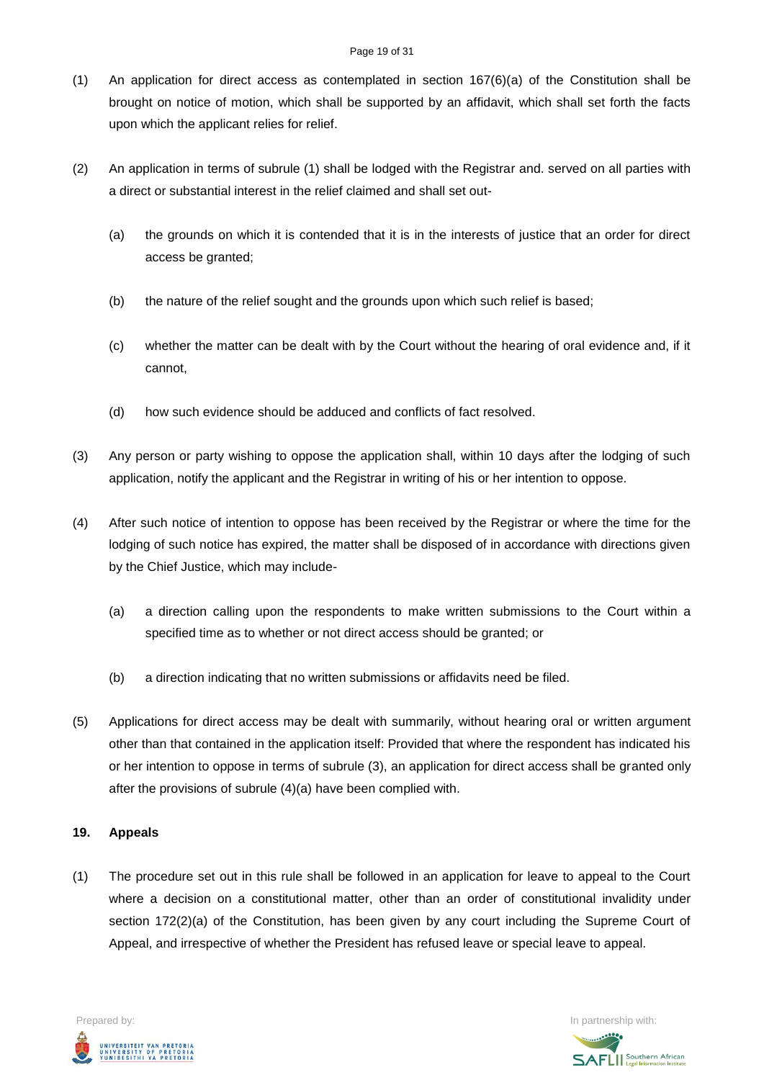#### Page 19 of 31

- (1) An application for direct access as contemplated in section 167(6)(a) of the Constitution shall be brought on notice of motion, which shall be supported by an affidavit, which shall set forth the facts upon which the applicant relies for relief.
- (2) An application in terms of subrule (1) shall be lodged with the Registrar and. served on all parties with a direct or substantial interest in the relief claimed and shall set out-
	- (a) the grounds on which it is contended that it is in the interests of justice that an order for direct access be granted;
	- (b) the nature of the relief sought and the grounds upon which such relief is based;
	- (c) whether the matter can be dealt with by the Court without the hearing of oral evidence and, if it cannot,
	- (d) how such evidence should be adduced and conflicts of fact resolved.
- (3) Any person or party wishing to oppose the application shall, within 10 days after the lodging of such application, notify the applicant and the Registrar in writing of his or her intention to oppose.
- (4) After such notice of intention to oppose has been received by the Registrar or where the time for the lodging of such notice has expired, the matter shall be disposed of in accordance with directions given by the Chief Justice, which may include-
	- (a) a direction calling upon the respondents to make written submissions to the Court within a specified time as to whether or not direct access should be granted; or
	- (b) a direction indicating that no written submissions or affidavits need be filed.
- (5) Applications for direct access may be dealt with summarily, without hearing oral or written argument other than that contained in the application itself: Provided that where the respondent has indicated his or her intention to oppose in terms of subrule (3), an application for direct access shall be granted only after the provisions of subrule (4)(a) have been complied with.

#### **19. Appeals**

(1) The procedure set out in this rule shall be followed in an application for leave to appeal to the Court where a decision on a constitutional matter, other than an order of constitutional invalidity under section 172(2)(a) of the Constitution, has been given by any court including the Supreme Court of Appeal, and irrespective of whether the President has refused leave or special leave to appeal.



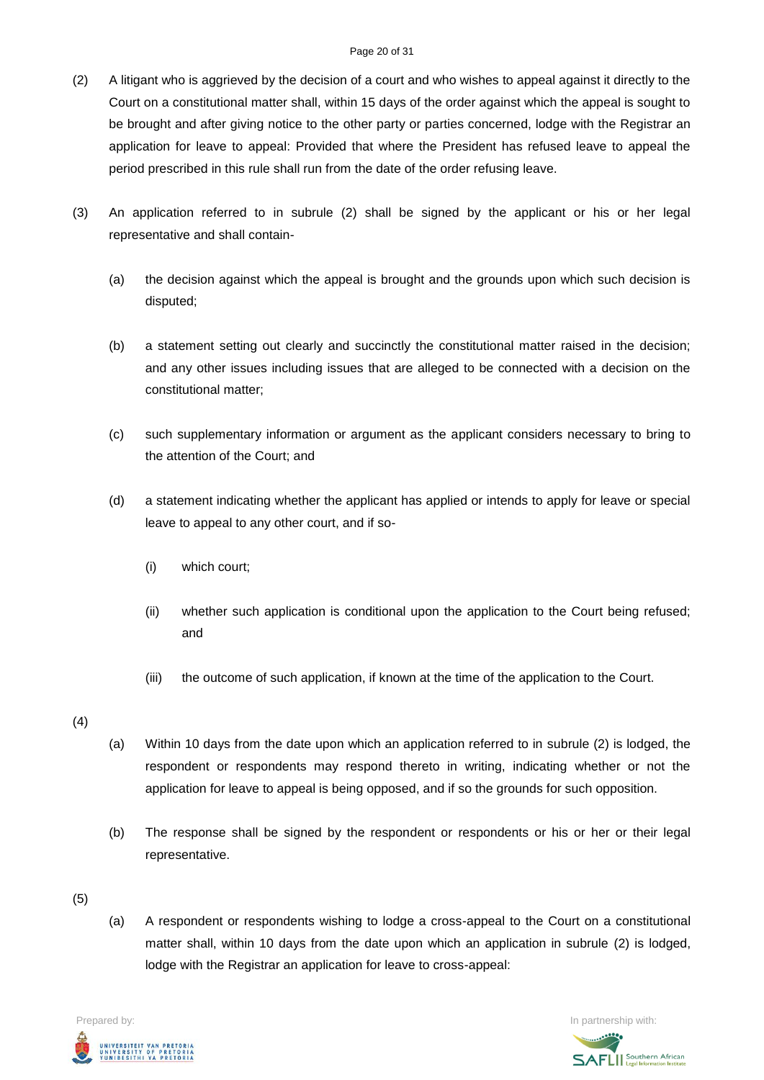#### Page 20 of 31

- (2) A litigant who is aggrieved by the decision of a court and who wishes to appeal against it directly to the Court on a constitutional matter shall, within 15 days of the order against which the appeal is sought to be brought and after giving notice to the other party or parties concerned, lodge with the Registrar an application for leave to appeal: Provided that where the President has refused leave to appeal the period prescribed in this rule shall run from the date of the order refusing leave.
- (3) An application referred to in subrule (2) shall be signed by the applicant or his or her legal representative and shall contain-
	- (a) the decision against which the appeal is brought and the grounds upon which such decision is disputed;
	- (b) a statement setting out clearly and succinctly the constitutional matter raised in the decision; and any other issues including issues that are alleged to be connected with a decision on the constitutional matter;
	- (c) such supplementary information or argument as the applicant considers necessary to bring to the attention of the Court; and
	- (d) a statement indicating whether the applicant has applied or intends to apply for leave or special leave to appeal to any other court, and if so-
		- (i) which court;
		- (ii) whether such application is conditional upon the application to the Court being refused; and
		- (iii) the outcome of such application, if known at the time of the application to the Court.
- (4)
- (a) Within 10 days from the date upon which an application referred to in subrule (2) is lodged, the respondent or respondents may respond thereto in writing, indicating whether or not the application for leave to appeal is being opposed, and if so the grounds for such opposition.
- (b) The response shall be signed by the respondent or respondents or his or her or their legal representative.
- (5)
- (a) A respondent or respondents wishing to lodge a cross-appeal to the Court on a constitutional matter shall, within 10 days from the date upon which an application in subrule (2) is lodged, lodge with the Registrar an application for leave to cross-appeal:



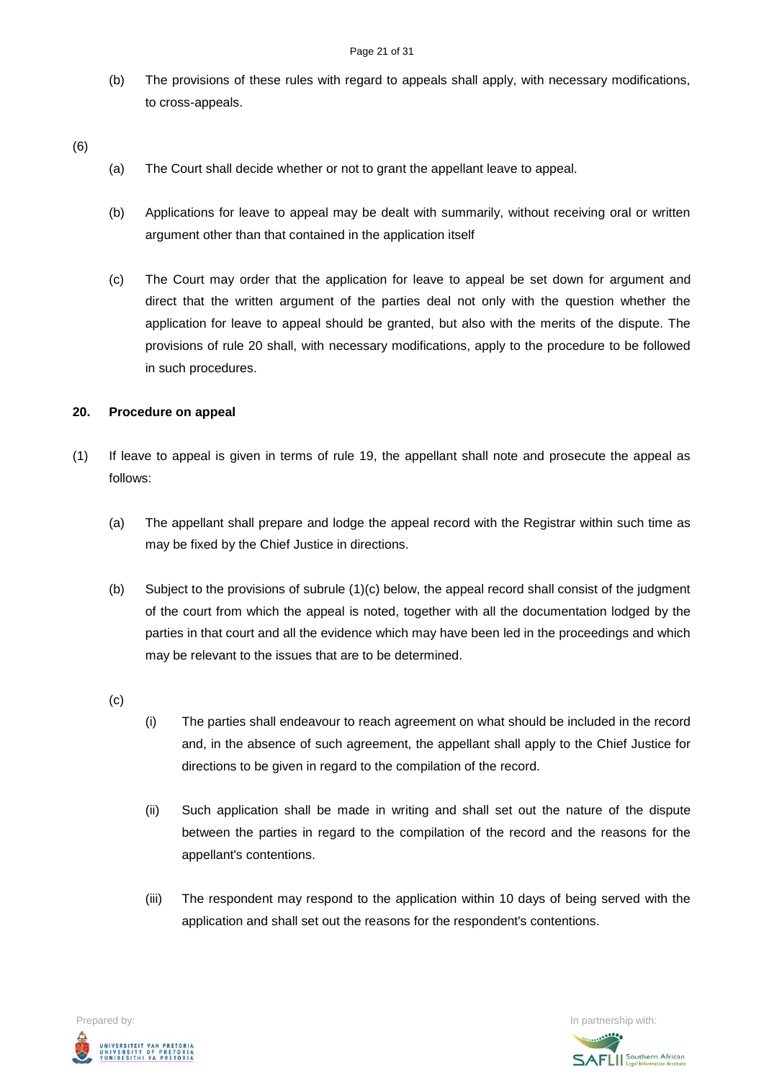(b) The provisions of these rules with regard to appeals shall apply, with necessary modifications, to cross-appeals.

(6)

- (a) The Court shall decide whether or not to grant the appellant leave to appeal.
- (b) Applications for leave to appeal may be dealt with summarily, without receiving oral or written argument other than that contained in the application itself
- (c) The Court may order that the application for leave to appeal be set down for argument and direct that the written argument of the parties deal not only with the question whether the application for leave to appeal should be granted, but also with the merits of the dispute. The provisions of rule 20 shall, with necessary modifications, apply to the procedure to be followed in such procedures.

#### **20. Procedure on appeal**

- (1) If leave to appeal is given in terms of rule 19, the appellant shall note and prosecute the appeal as follows:
	- (a) The appellant shall prepare and lodge the appeal record with the Registrar within such time as may be fixed by the Chief Justice in directions.
	- (b) Subject to the provisions of subrule (1)(c) below, the appeal record shall consist of the judgment of the court from which the appeal is noted, together with all the documentation lodged by the parties in that court and all the evidence which may have been led in the proceedings and which may be relevant to the issues that are to be determined.
	- (c)
- (i) The parties shall endeavour to reach agreement on what should be included in the record and, in the absence of such agreement, the appellant shall apply to the Chief Justice for directions to be given in regard to the compilation of the record.
- (ii) Such application shall be made in writing and shall set out the nature of the dispute between the parties in regard to the compilation of the record and the reasons for the appellant's contentions.
- (iii) The respondent may respond to the application within 10 days of being served with the application and shall set out the reasons for the respondent's contentions.



**SAFLI** Southern African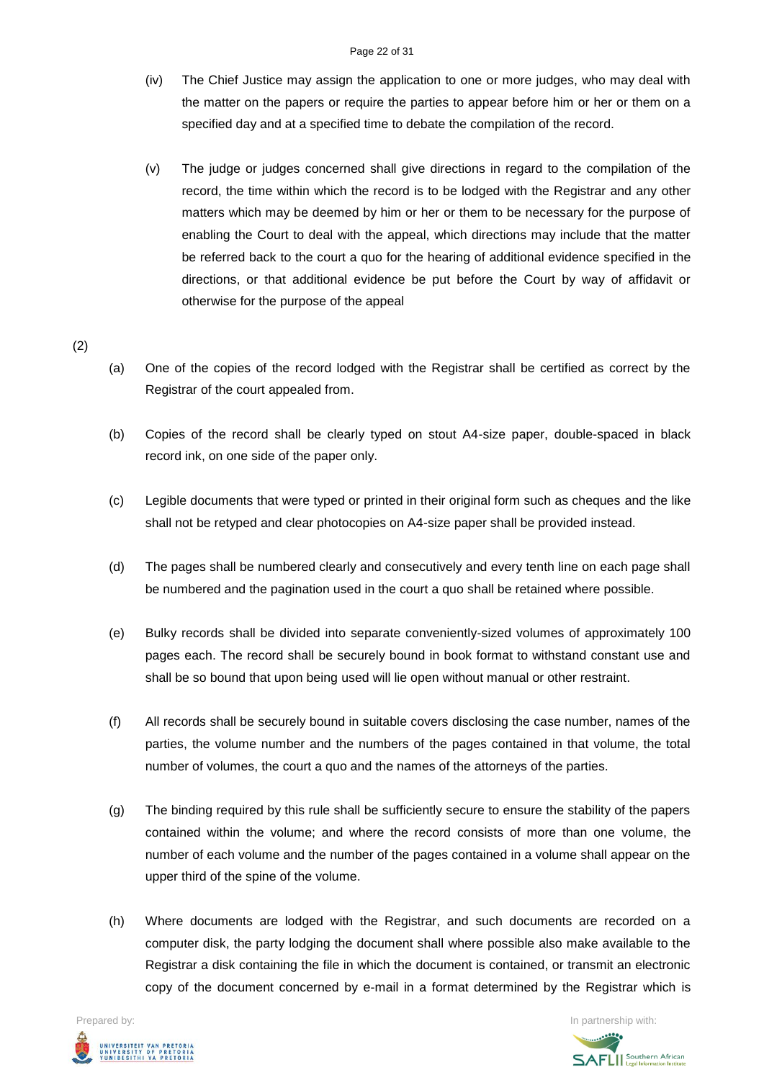#### Page 22 of 31

- (iv) The Chief Justice may assign the application to one or more judges, who may deal with the matter on the papers or require the parties to appear before him or her or them on a specified day and at a specified time to debate the compilation of the record.
- (v) The judge or judges concerned shall give directions in regard to the compilation of the record, the time within which the record is to be lodged with the Registrar and any other matters which may be deemed by him or her or them to be necessary for the purpose of enabling the Court to deal with the appeal, which directions may include that the matter be referred back to the court a quo for the hearing of additional evidence specified in the directions, or that additional evidence be put before the Court by way of affidavit or otherwise for the purpose of the appeal

# (2)

- (a) One of the copies of the record lodged with the Registrar shall be certified as correct by the Registrar of the court appealed from.
- (b) Copies of the record shall be clearly typed on stout A4-size paper, double-spaced in black record ink, on one side of the paper only.
- (c) Legible documents that were typed or printed in their original form such as cheques and the like shall not be retyped and clear photocopies on A4-size paper shall be provided instead.
- (d) The pages shall be numbered clearly and consecutively and every tenth line on each page shall be numbered and the pagination used in the court a quo shall be retained where possible.
- (e) Bulky records shall be divided into separate conveniently-sized volumes of approximately 100 pages each. The record shall be securely bound in book format to withstand constant use and shall be so bound that upon being used will lie open without manual or other restraint.
- (f) All records shall be securely bound in suitable covers disclosing the case number, names of the parties, the volume number and the numbers of the pages contained in that volume, the total number of volumes, the court a quo and the names of the attorneys of the parties.
- (g) The binding required by this rule shall be sufficiently secure to ensure the stability of the papers contained within the volume; and where the record consists of more than one volume, the number of each volume and the number of the pages contained in a volume shall appear on the upper third of the spine of the volume.
- (h) Where documents are lodged with the Registrar, and such documents are recorded on a computer disk, the party lodging the document shall where possible also make available to the Registrar a disk containing the file in which the document is contained, or transmit an electronic copy of the document concerned by e-mail in a format determined by the Registrar which is

UNIVERSITEIT VAN PRETORIA<br>UNIVERSITY OF PRETORIA<br>YUNIBESITHI YA PRETORIA

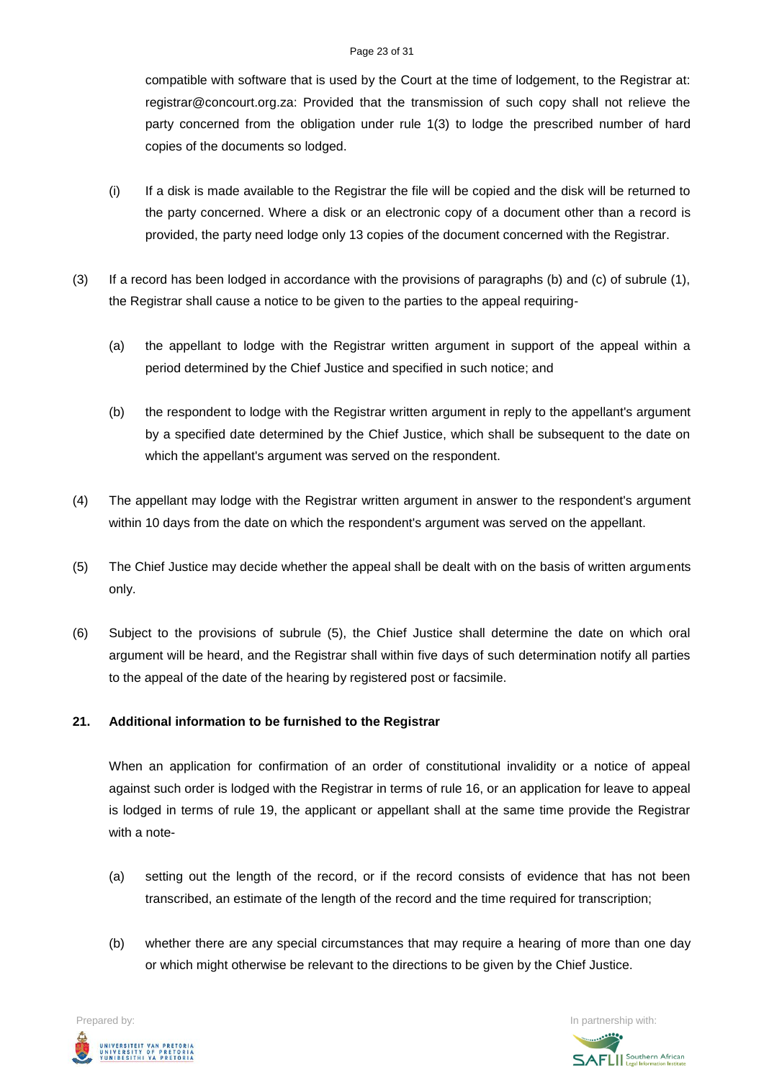#### Page 23 of 31

compatible with software that is used by the Court at the time of lodgement, to the Registrar at: registrar@concourt.org.za: Provided that the transmission of such copy shall not relieve the party concerned from the obligation under rule 1(3) to lodge the prescribed number of hard copies of the documents so lodged.

- (i) If a disk is made available to the Registrar the file will be copied and the disk will be returned to the party concerned. Where a disk or an electronic copy of a document other than a record is provided, the party need lodge only 13 copies of the document concerned with the Registrar.
- (3) If a record has been lodged in accordance with the provisions of paragraphs (b) and (c) of subrule (1), the Registrar shall cause a notice to be given to the parties to the appeal requiring-
	- (a) the appellant to lodge with the Registrar written argument in support of the appeal within a period determined by the Chief Justice and specified in such notice; and
	- (b) the respondent to lodge with the Registrar written argument in reply to the appellant's argument by a specified date determined by the Chief Justice, which shall be subsequent to the date on which the appellant's argument was served on the respondent.
- (4) The appellant may lodge with the Registrar written argument in answer to the respondent's argument within 10 days from the date on which the respondent's argument was served on the appellant.
- (5) The Chief Justice may decide whether the appeal shall be dealt with on the basis of written arguments only.
- (6) Subject to the provisions of subrule (5), the Chief Justice shall determine the date on which oral argument will be heard, and the Registrar shall within five days of such determination notify all parties to the appeal of the date of the hearing by registered post or facsimile.

# **21. Additional information to be furnished to the Registrar**

When an application for confirmation of an order of constitutional invalidity or a notice of appeal against such order is lodged with the Registrar in terms of rule 16, or an application for leave to appeal is lodged in terms of rule 19, the applicant or appellant shall at the same time provide the Registrar with a note-

- (a) setting out the length of the record, or if the record consists of evidence that has not been transcribed, an estimate of the length of the record and the time required for transcription;
- (b) whether there are any special circumstances that may require a hearing of more than one day or which might otherwise be relevant to the directions to be given by the Chief Justice.

UNIVERSITEIT VAN PRETORIA<br>UNIVERSITY OF PRETORIA<br>YUNIBESITHI YA PRETORIA

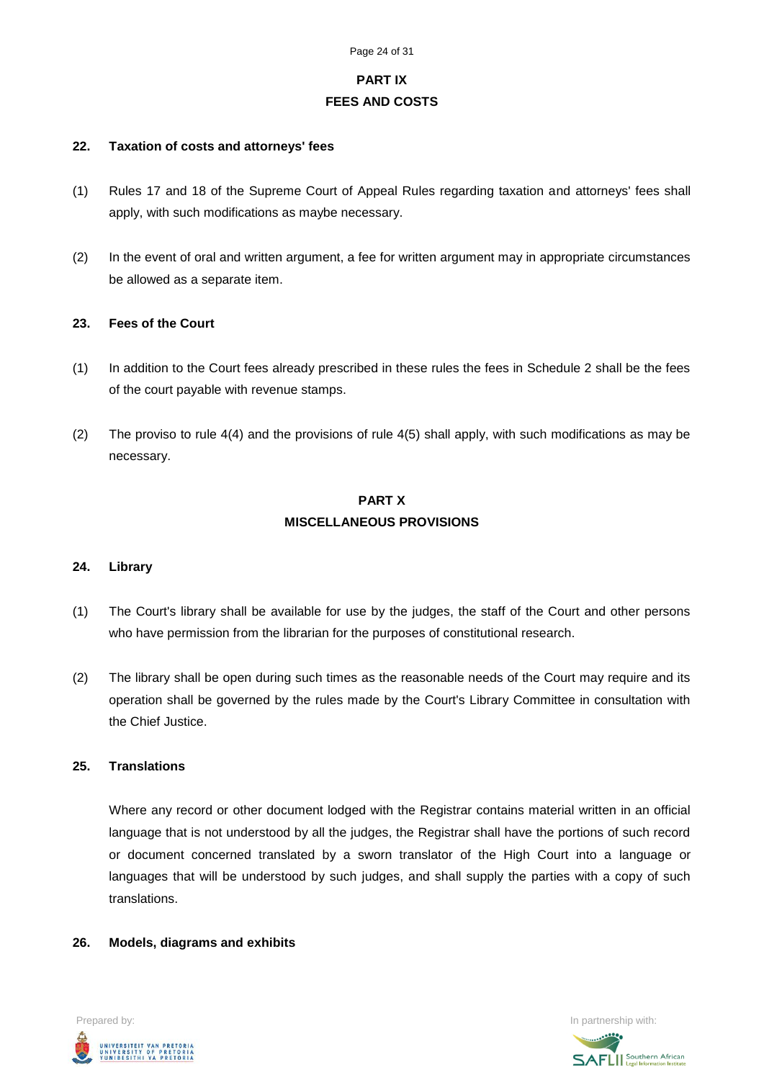# **PART IX FEES AND COSTS**

#### **22. Taxation of costs and attorneys' fees**

- (1) Rules 17 and 18 of the Supreme Court of Appeal Rules regarding taxation and attorneys' fees shall apply, with such modifications as maybe necessary.
- (2) In the event of oral and written argument, a fee for written argument may in appropriate circumstances be allowed as a separate item.

#### **23. Fees of the Court**

- (1) In addition to the Court fees already prescribed in these rules the fees in Schedule 2 shall be the fees of the court payable with revenue stamps.
- (2) The proviso to rule 4(4) and the provisions of rule 4(5) shall apply, with such modifications as may be necessary.

# **PART X MISCELLANEOUS PROVISIONS**

#### **24. Library**

- (1) The Court's library shall be available for use by the judges, the staff of the Court and other persons who have permission from the librarian for the purposes of constitutional research.
- (2) The library shall be open during such times as the reasonable needs of the Court may require and its operation shall be governed by the rules made by the Court's Library Committee in consultation with the Chief Justice.

#### **25. Translations**

Where any record or other document lodged with the Registrar contains material written in an official language that is not understood by all the judges, the Registrar shall have the portions of such record or document concerned translated by a sworn translator of the High Court into a language or languages that will be understood by such judges, and shall supply the parties with a copy of such translations.

#### **26. Models, diagrams and exhibits**



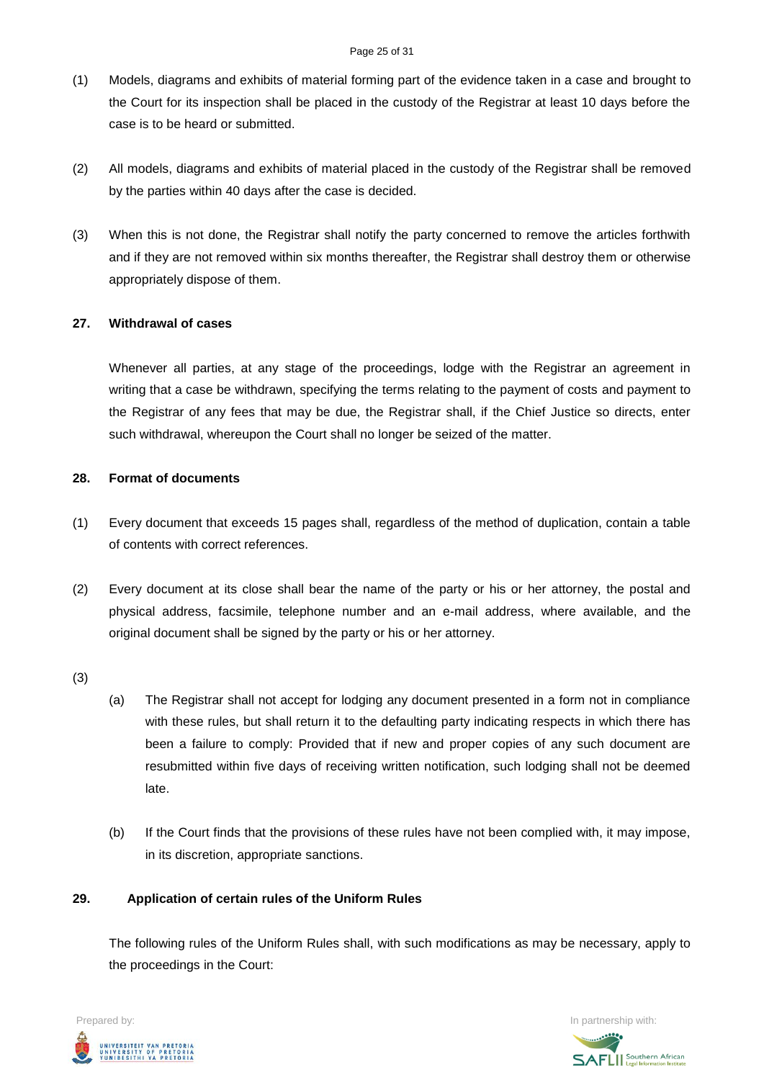- (1) Models, diagrams and exhibits of material forming part of the evidence taken in a case and brought to the Court for its inspection shall be placed in the custody of the Registrar at least 10 days before the case is to be heard or submitted.
- (2) All models, diagrams and exhibits of material placed in the custody of the Registrar shall be removed by the parties within 40 days after the case is decided.
- (3) When this is not done, the Registrar shall notify the party concerned to remove the articles forthwith and if they are not removed within six months thereafter, the Registrar shall destroy them or otherwise appropriately dispose of them.

#### **27. Withdrawal of cases**

Whenever all parties, at any stage of the proceedings, lodge with the Registrar an agreement in writing that a case be withdrawn, specifying the terms relating to the payment of costs and payment to the Registrar of any fees that may be due, the Registrar shall, if the Chief Justice so directs, enter such withdrawal, whereupon the Court shall no longer be seized of the matter.

#### **28. Format of documents**

- (1) Every document that exceeds 15 pages shall, regardless of the method of duplication, contain a table of contents with correct references.
- (2) Every document at its close shall bear the name of the party or his or her attorney, the postal and physical address, facsimile, telephone number and an e-mail address, where available, and the original document shall be signed by the party or his or her attorney.
- (3)
- (a) The Registrar shall not accept for lodging any document presented in a form not in compliance with these rules, but shall return it to the defaulting party indicating respects in which there has been a failure to comply: Provided that if new and proper copies of any such document are resubmitted within five days of receiving written notification, such lodging shall not be deemed late.
- (b) If the Court finds that the provisions of these rules have not been complied with, it may impose, in its discretion, appropriate sanctions.

# **29. Application of certain rules of the Uniform Rules**

The following rules of the Uniform Rules shall, with such modifications as may be necessary, apply to the proceedings in the Court:



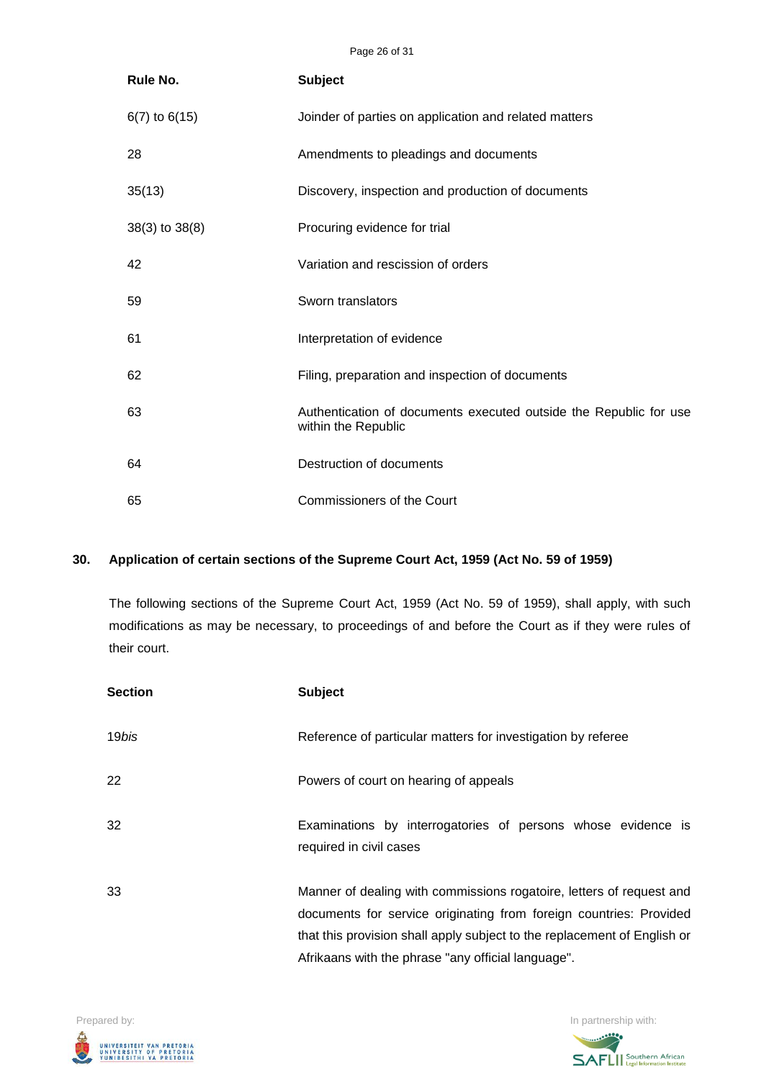Page 26 of 31

| Rule No.           | <b>Subject</b>                                                                           |
|--------------------|------------------------------------------------------------------------------------------|
| $6(7)$ to $6(15)$  | Joinder of parties on application and related matters                                    |
| 28                 | Amendments to pleadings and documents                                                    |
| 35(13)             | Discovery, inspection and production of documents                                        |
| $38(3)$ to $38(8)$ | Procuring evidence for trial                                                             |
| 42                 | Variation and rescission of orders                                                       |
| 59                 | Sworn translators                                                                        |
| 61                 | Interpretation of evidence                                                               |
| 62                 | Filing, preparation and inspection of documents                                          |
| 63                 | Authentication of documents executed outside the Republic for use<br>within the Republic |
| 64                 | Destruction of documents                                                                 |
| 65                 | Commissioners of the Court                                                               |

# **30. Application of certain sections of the Supreme Court Act, 1959 (Act No. 59 of 1959)**

The following sections of the Supreme Court Act, 1959 (Act No. 59 of 1959), shall apply, with such modifications as may be necessary, to proceedings of and before the Court as if they were rules of their court.

| <b>Section</b> | <b>Subject</b>                                                                                                                                                                                                                                                               |
|----------------|------------------------------------------------------------------------------------------------------------------------------------------------------------------------------------------------------------------------------------------------------------------------------|
| 19 <i>bis</i>  | Reference of particular matters for investigation by referee                                                                                                                                                                                                                 |
| 22             | Powers of court on hearing of appeals                                                                                                                                                                                                                                        |
| 32             | Examinations by interrogatories of persons whose evidence is<br>required in civil cases                                                                                                                                                                                      |
| 33             | Manner of dealing with commissions rogatoire, letters of request and<br>documents for service originating from foreign countries: Provided<br>that this provision shall apply subject to the replacement of English or<br>Afrikaans with the phrase "any official language". |



**SAFLI** Southern African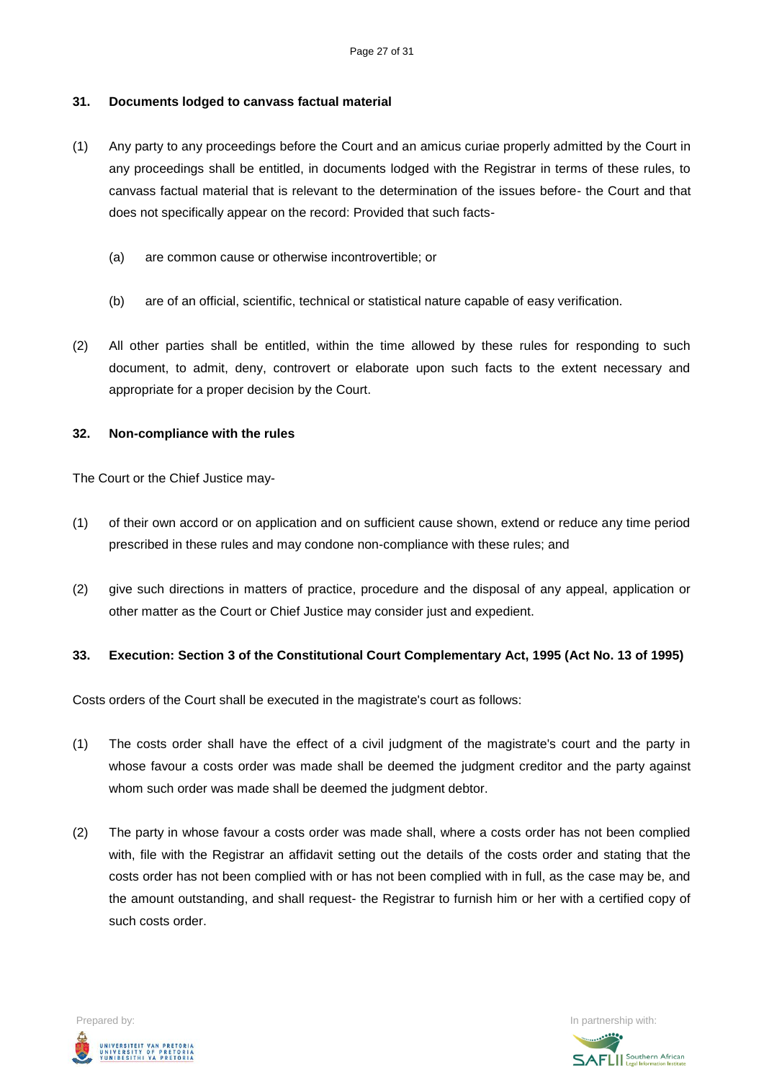## **31. Documents lodged to canvass factual material**

- (1) Any party to any proceedings before the Court and an amicus curiae properly admitted by the Court in any proceedings shall be entitled, in documents lodged with the Registrar in terms of these rules, to canvass factual material that is relevant to the determination of the issues before- the Court and that does not specifically appear on the record: Provided that such facts-
	- (a) are common cause or otherwise incontrovertible; or
	- (b) are of an official, scientific, technical or statistical nature capable of easy verification.
- (2) All other parties shall be entitled, within the time allowed by these rules for responding to such document, to admit, deny, controvert or elaborate upon such facts to the extent necessary and appropriate for a proper decision by the Court.

#### **32. Non-compliance with the rules**

The Court or the Chief Justice may-

- (1) of their own accord or on application and on sufficient cause shown, extend or reduce any time period prescribed in these rules and may condone non-compliance with these rules; and
- (2) give such directions in matters of practice, procedure and the disposal of any appeal, application or other matter as the Court or Chief Justice may consider just and expedient.

#### **33. Execution: Section 3 of the Constitutional Court Complementary Act, 1995 (Act No. 13 of 1995)**

Costs orders of the Court shall be executed in the magistrate's court as follows:

- (1) The costs order shall have the effect of a civil judgment of the magistrate's court and the party in whose favour a costs order was made shall be deemed the judgment creditor and the party against whom such order was made shall be deemed the judgment debtor.
- (2) The party in whose favour a costs order was made shall, where a costs order has not been complied with, file with the Registrar an affidavit setting out the details of the costs order and stating that the costs order has not been complied with or has not been complied with in full, as the case may be, and the amount outstanding, and shall request- the Registrar to furnish him or her with a certified copy of such costs order.



**SAFLII** Southern African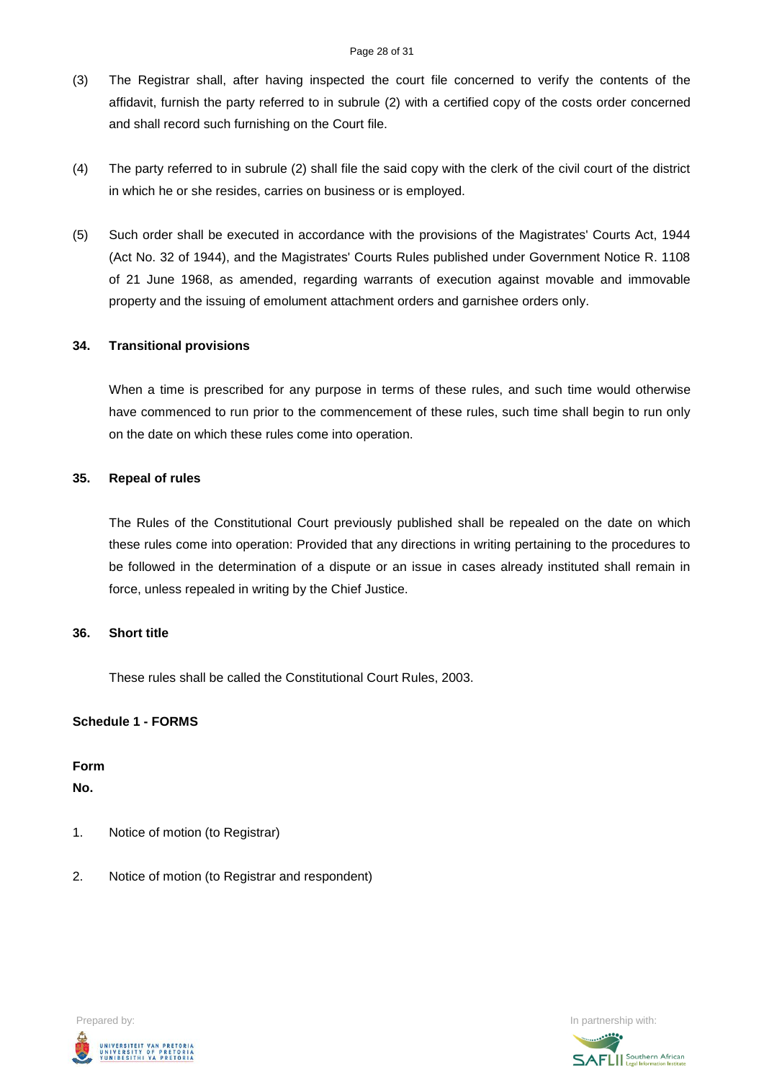- (3) The Registrar shall, after having inspected the court file concerned to verify the contents of the affidavit, furnish the party referred to in subrule (2) with a certified copy of the costs order concerned and shall record such furnishing on the Court file.
- (4) The party referred to in subrule (2) shall file the said copy with the clerk of the civil court of the district in which he or she resides, carries on business or is employed.
- (5) Such order shall be executed in accordance with the provisions of the Magistrates' Courts Act, 1944 (Act No. 32 of 1944), and the Magistrates' Courts Rules published under Government Notice R. 1108 of 21 June 1968, as amended, regarding warrants of execution against movable and immovable property and the issuing of emolument attachment orders and garnishee orders only.

#### **34. Transitional provisions**

When a time is prescribed for any purpose in terms of these rules, and such time would otherwise have commenced to run prior to the commencement of these rules, such time shall begin to run only on the date on which these rules come into operation.

#### **35. Repeal of rules**

The Rules of the Constitutional Court previously published shall be repealed on the date on which these rules come into operation: Provided that any directions in writing pertaining to the procedures to be followed in the determination of a dispute or an issue in cases already instituted shall remain in force, unless repealed in writing by the Chief Justice.

#### **36. Short title**

These rules shall be called the Constitutional Court Rules, 2003.

#### **Schedule 1 - FORMS**

**Form**

**No.**

- 1. Notice of motion (to Registrar)
- 2. Notice of motion (to Registrar and respondent)



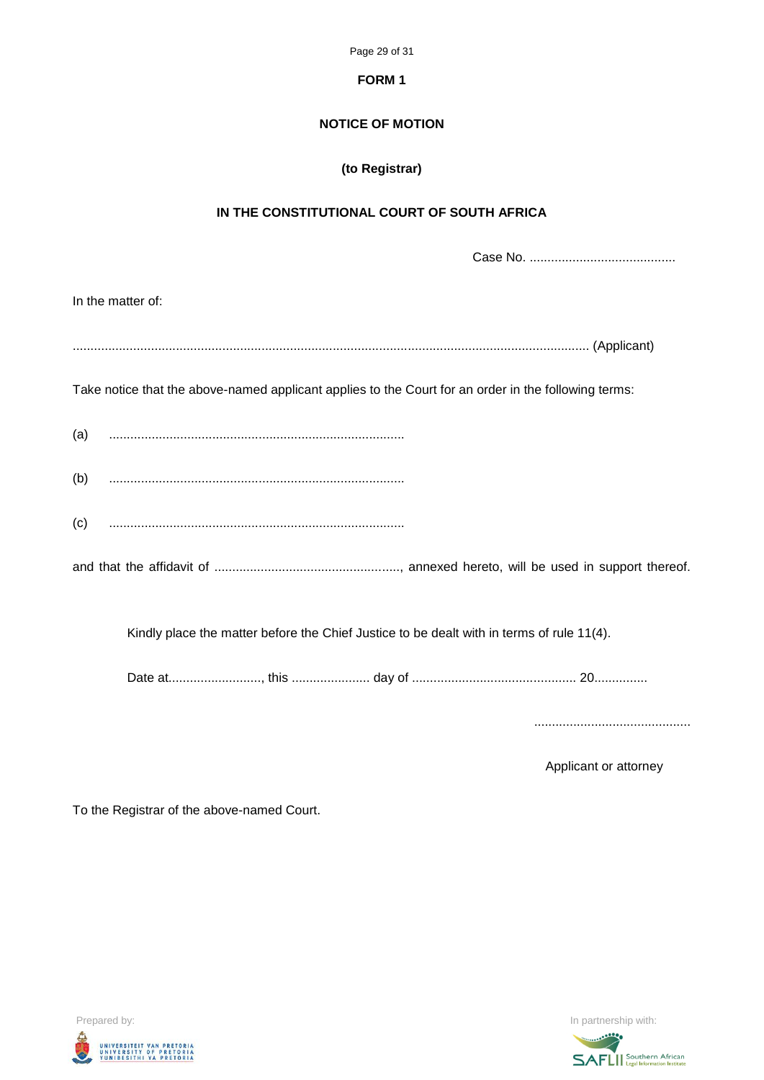Page 29 of 31

#### **FORM 1**

## **NOTICE OF MOTION**

# **(to Registrar)**

## **IN THE CONSTITUTIONAL COURT OF SOUTH AFRICA**

Case No. .........................................

|     | In the matter of:                                                                                                                                                                                                                                                                                                                                                                                                                             |  |
|-----|-----------------------------------------------------------------------------------------------------------------------------------------------------------------------------------------------------------------------------------------------------------------------------------------------------------------------------------------------------------------------------------------------------------------------------------------------|--|
|     |                                                                                                                                                                                                                                                                                                                                                                                                                                               |  |
|     | Take notice that the above-named applicant applies to the Court for an order in the following terms:                                                                                                                                                                                                                                                                                                                                          |  |
|     | $\begin{pmatrix} a & b & c & d \\ c & d & d & e \\ d & d & d & e \\ d & d & d & d \end{pmatrix}$                                                                                                                                                                                                                                                                                                                                              |  |
| (b) |                                                                                                                                                                                                                                                                                                                                                                                                                                               |  |
| (c) | $\begin{minipage}{0.5\textwidth} \begin{tabular}{ l l l } \hline & \multicolumn{1}{ l l } \hline & \multicolumn{1}{ l } \multicolumn{1}{ l } \multicolumn{1}{ l } \multicolumn{1}{ l } \multicolumn{1}{ l } \multicolumn{1}{ l } \multicolumn{1}{ l } \multicolumn{1}{ l } \multicolumn{1}{ l } \multicolumn{1}{ l } \multicolumn{1}{ l } \multicolumn{1}{ l } \multicolumn{1}{ l } \multicolumn{1}{ l } \multicolumn{1}{ l } \multicolumn{1$ |  |
|     |                                                                                                                                                                                                                                                                                                                                                                                                                                               |  |
|     | Kindly place the matter before the Chief Justice to be dealt with in terms of rule 11(4).                                                                                                                                                                                                                                                                                                                                                     |  |
|     |                                                                                                                                                                                                                                                                                                                                                                                                                                               |  |

............................................

Applicant or attorney

To the Registrar of the above-named Court.



Prepared by: In partnership with: **SAFLI** Southern African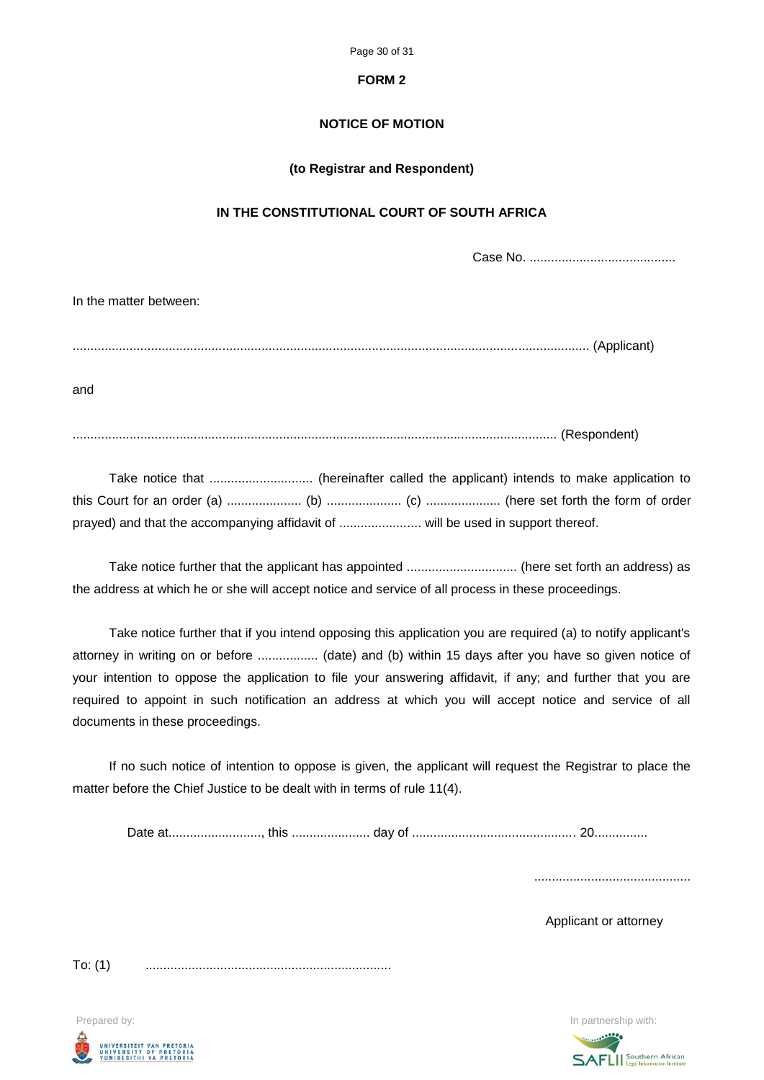Page 30 of 31

#### **FORM 2**

# **NOTICE OF MOTION**

#### **(to Registrar and Respondent)**

## **IN THE CONSTITUTIONAL COURT OF SOUTH AFRICA**

Case No. .........................................

| In the matter between: |  |
|------------------------|--|
|                        |  |
| and                    |  |
|                        |  |

Take notice further that the applicant has appointed ............................... (here set forth an address) as the address at which he or she will accept notice and service of all process in these proceedings.

Take notice further that if you intend opposing this application you are required (a) to notify applicant's attorney in writing on or before ................. (date) and (b) within 15 days after you have so given notice of your intention to oppose the application to file your answering affidavit, if any; and further that you are required to appoint in such notification an address at which you will accept notice and service of all documents in these proceedings.

If no such notice of intention to oppose is given, the applicant will request the Registrar to place the matter before the Chief Justice to be dealt with in terms of rule 11(4).

Date at.........................., this ...................... day of .............................................. 20...............

............................................

Applicant or attorney

To: (1) .....................................................................

Prepared by: **In partnership with:**  $\blacksquare$  **In partnership with:**  $\blacksquare$  **In partnership with:**  $\blacksquare$ UNIVERSITEIT VAN PRETORIA<br>UNIVERSITY OF PRETORIA<br>YUNIBESITHI YA PRETORIA

**SAFLI** Southern African